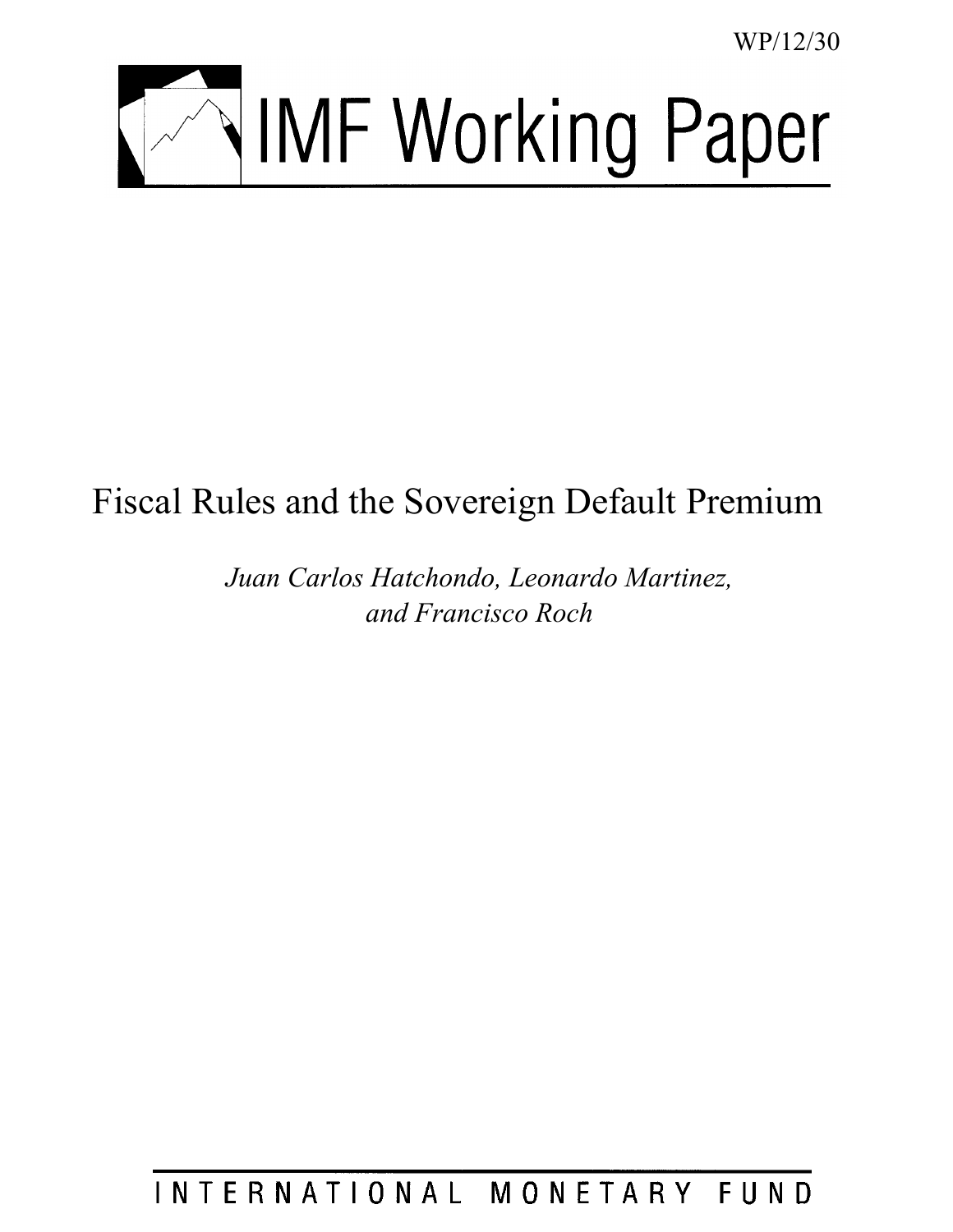WP/12/30



# Fiscal Rules and the Sovereign Default Premium

*Juan Carlos Hatchondo, Leonardo Martinez, and Francisco Roch*

INTERNATIONAL MONETARY FUND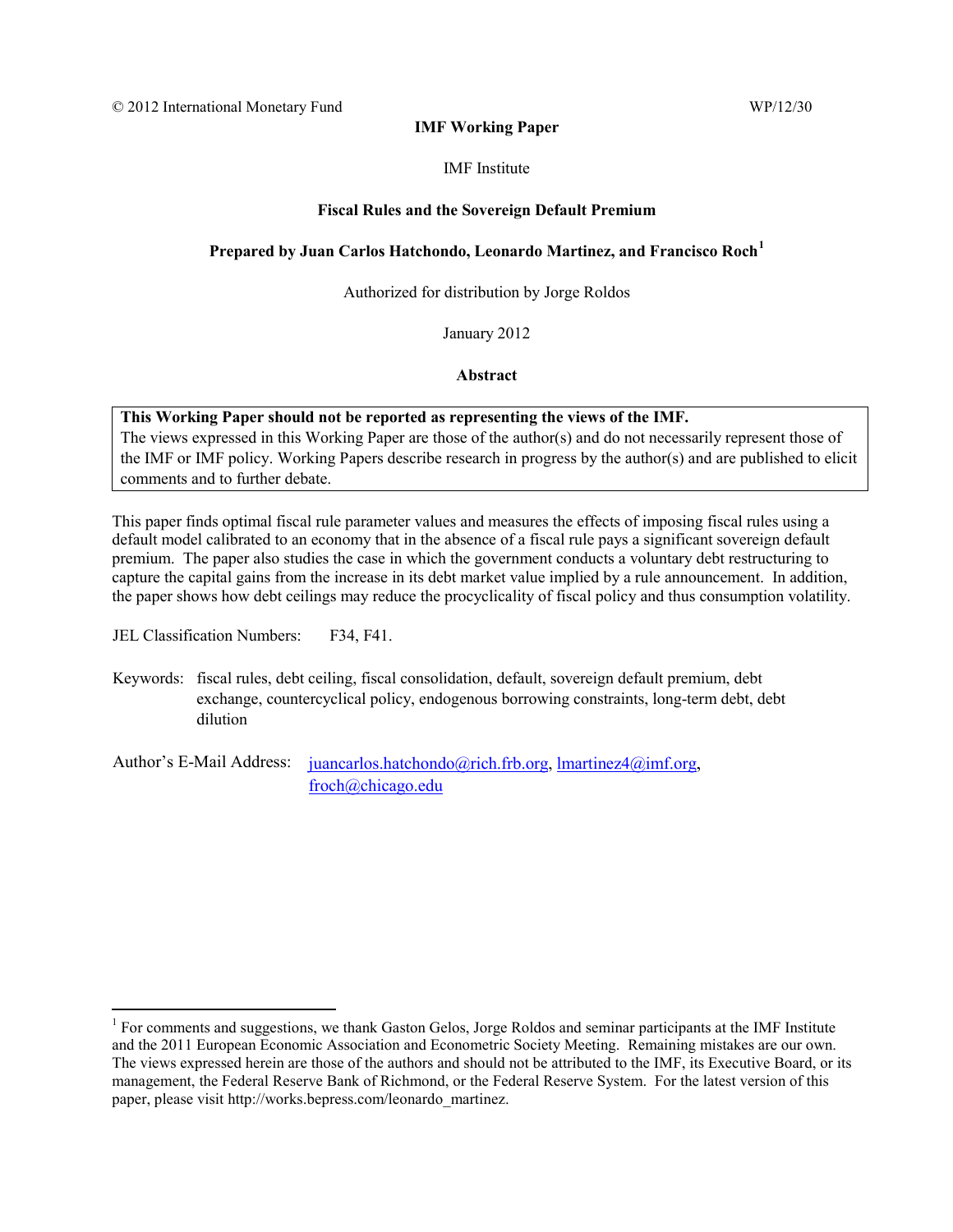#### **IMF Working Paper**

#### IMF Institute

#### **Fiscal Rules and the Sovereign Default Premium**

#### **Prepared by Juan Carlos Hatchondo, Leonardo Martinez, and Francisco Roch[1](#page-1-0)**

Authorized for distribution by Jorge Roldos

January 2012

**Abstract**

#### **This Working Paper should not be reported as representing the views of the IMF.**

The views expressed in this Working Paper are those of the author(s) and do not necessarily represent those of the IMF or IMF policy. Working Papers describe research in progress by the author(s) and are published to elicit comments and to further debate.

This paper finds optimal fiscal rule parameter values and measures the effects of imposing fiscal rules using a default model calibrated to an economy that in the absence of a fiscal rule pays a significant sovereign default premium. The paper also studies the case in which the government conducts a voluntary debt restructuring to capture the capital gains from the increase in its debt market value implied by a rule announcement. In addition, the paper shows how debt ceilings may reduce the procyclicality of fiscal policy and thus consumption volatility.

JEL Classification Numbers: F34, F41.

 $\overline{a}$ 

Keywords: fiscal rules, debt ceiling, fiscal consolidation, default, sovereign default premium, debt exchange, countercyclical policy, endogenous borrowing constraints, long-term debt, debt dilution

Author's E-Mail Address: [juancarlos.hatchondo@rich.frb.org,](mailto:juancarlos.hatchondo@rich.frb.org) [lmartinez4@imf.org,](mailto:lmartinez4@imf.org) froch@chicago.edu

<span id="page-1-0"></span> $1$  For comments and suggestions, we thank Gaston Gelos, Jorge Roldos and seminar participants at the IMF Institute and the 2011 European Economic Association and Econometric Society Meeting. Remaining mistakes are our own. The views expressed herein are those of the authors and should not be attributed to the IMF, its Executive Board, or its management, the Federal Reserve Bank of Richmond, or the Federal Reserve System. For the latest version of this paper, please visit http://works.bepress.com/leonardo\_martinez.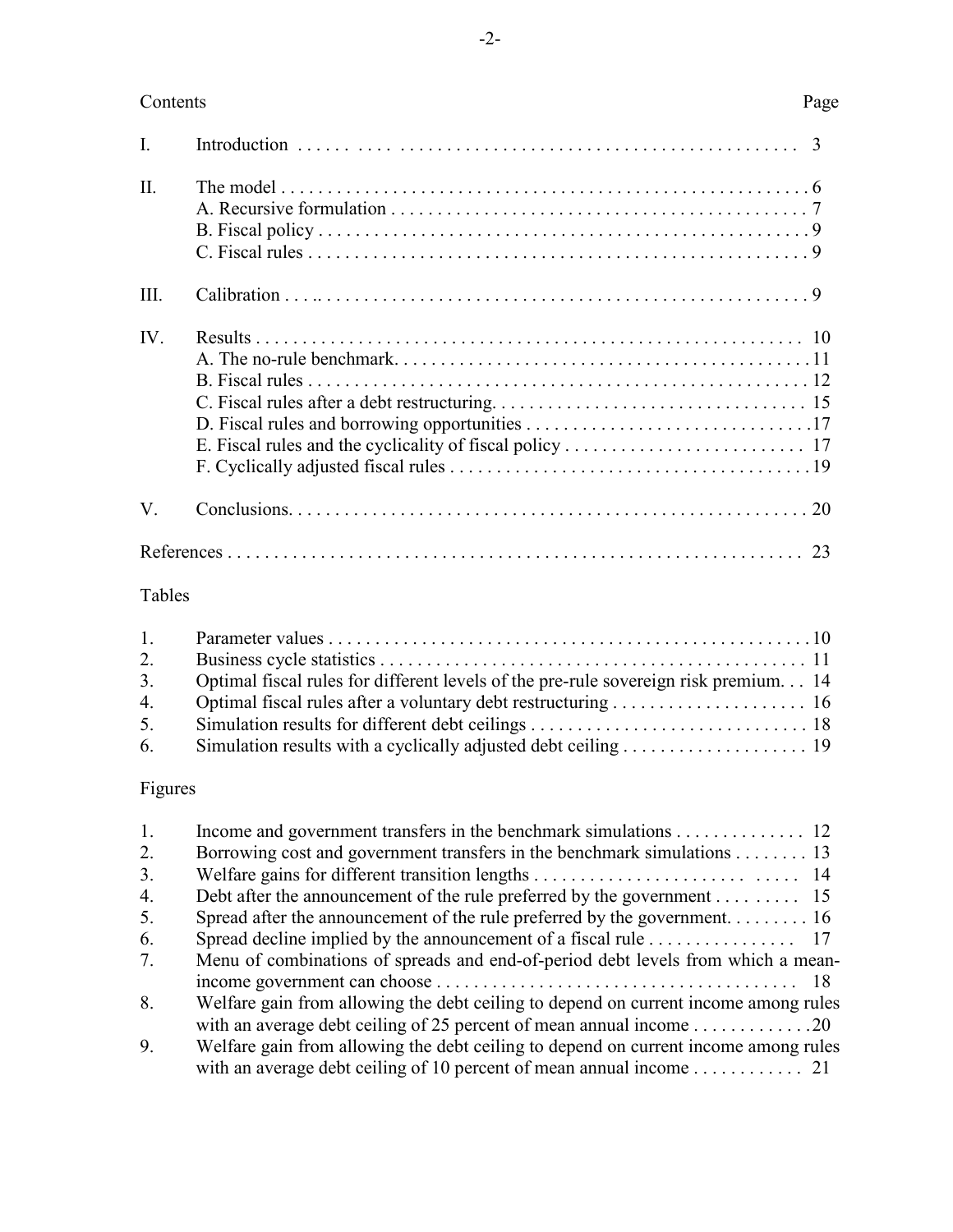#### Contents Page

| $\Pi$ .               |    |
|-----------------------|----|
| III.                  |    |
| $\mathbf{IV}_{\cdot}$ |    |
| V.                    |    |
|                       | 23 |

## Tables

|                | 3. Optimal fiscal rules for different levels of the pre-rule sovereign risk premium 14 |  |
|----------------|----------------------------------------------------------------------------------------|--|
| 4 <sub>1</sub> |                                                                                        |  |
| 5.             |                                                                                        |  |
| 6.             |                                                                                        |  |

### Figures

| 1. | Income and government transfers in the benchmark simulations 12                                  |
|----|--------------------------------------------------------------------------------------------------|
| 2. | Borrowing cost and government transfers in the benchmark simulations 13                          |
| 3. |                                                                                                  |
| 4. | Debt after the announcement of the rule preferred by the government 15                           |
| 5. | Spread after the announcement of the rule preferred by the government 16                         |
| 6. |                                                                                                  |
| 7. | Menu of combinations of spreads and end-of-period debt levels from which a mean-                 |
|    |                                                                                                  |
| 8. | Welfare gain from allowing the debt ceiling to depend on current income among rules              |
|    | with an average debt ceiling of 25 percent of mean annual income $\dots \dots \dots \dots \dots$ |
| 9. | Welfare gain from allowing the debt ceiling to depend on current income among rules              |
|    |                                                                                                  |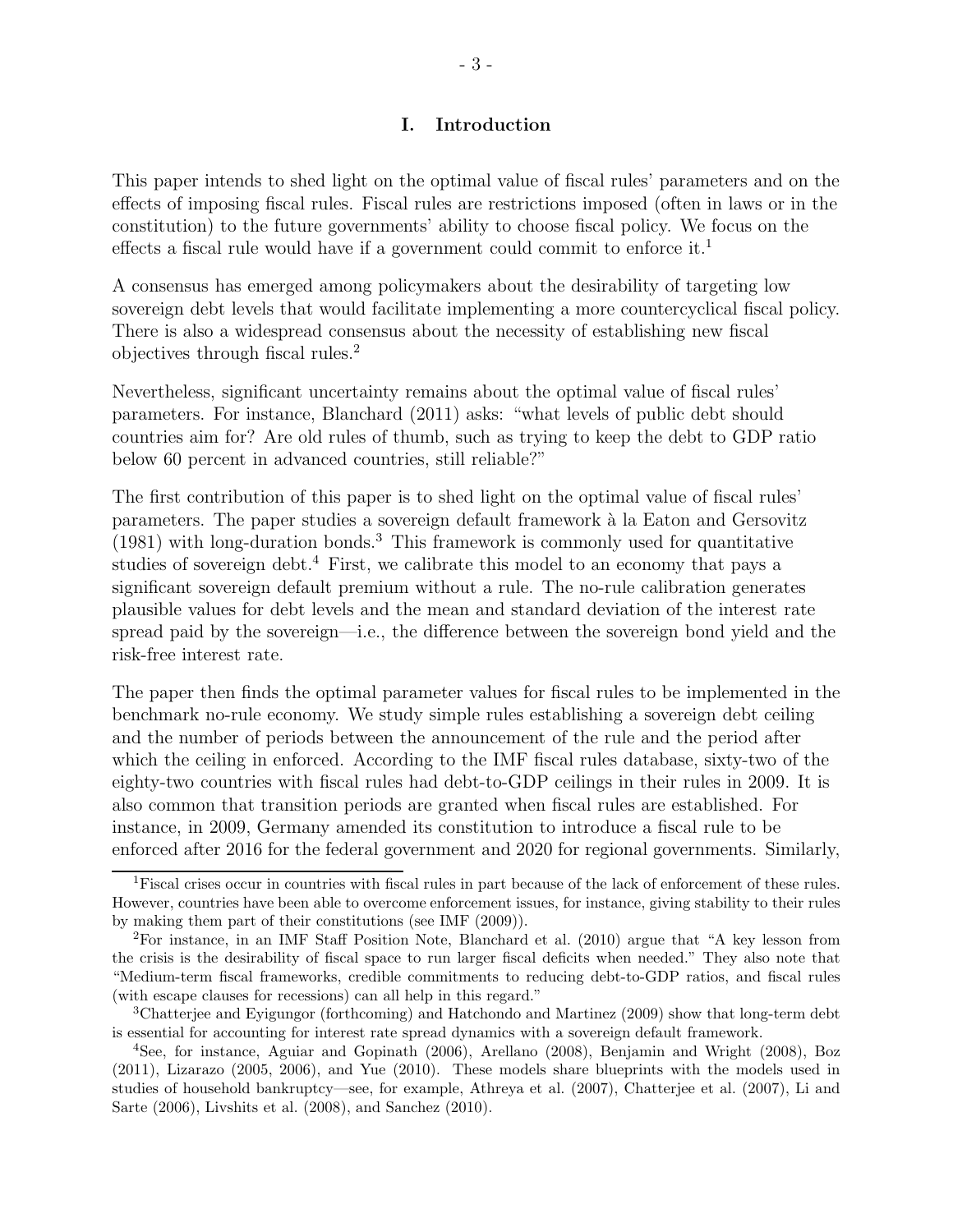#### I. Introduction

This paper intends to shed light on the optimal value of fiscal rules' parameters and on the effects of imposing fiscal rules. Fiscal rules are restrictions imposed (often in laws or in the constitution) to the future governments' ability to choose fiscal policy. We focus on the effects a fiscal rule would have if a government could commit to enforce it.<sup>1</sup>

A consensus has emerged among policymakers about the desirability of targeting low sovereign debt levels that would facilitate implementing a more countercyclical fiscal policy. There is also a widespread consensus about the necessity of establishing new fiscal objectives through fiscal rules.<sup>2</sup>

Nevertheless, significant uncertainty remains about the optimal value of fiscal rules' parameters. For instance, Blanchard (2011) asks: "what levels of public debt should countries aim for? Are old rules of thumb, such as trying to keep the debt to GDP ratio below 60 percent in advanced countries, still reliable?"

The first contribution of this paper is to shed light on the optimal value of fiscal rules' parameters. The paper studies a sovereign default framework à la Eaton and Gersovitz (1981) with long-duration bonds.<sup>3</sup> This framework is commonly used for quantitative studies of sovereign debt.<sup>4</sup> First, we calibrate this model to an economy that pays a significant sovereign default premium without a rule. The no-rule calibration generates plausible values for debt levels and the mean and standard deviation of the interest rate spread paid by the sovereign—i.e., the difference between the sovereign bond yield and the risk-free interest rate.

The paper then finds the optimal parameter values for fiscal rules to be implemented in the benchmark no-rule economy. We study simple rules establishing a sovereign debt ceiling and the number of periods between the announcement of the rule and the period after which the ceiling in enforced. According to the IMF fiscal rules database, sixty-two of the eighty-two countries with fiscal rules had debt-to-GDP ceilings in their rules in 2009. It is also common that transition periods are granted when fiscal rules are established. For instance, in 2009, Germany amended its constitution to introduce a fiscal rule to be enforced after 2016 for the federal government and 2020 for regional governments. Similarly,

<sup>1</sup>Fiscal crises occur in countries with fiscal rules in part because of the lack of enforcement of these rules. However, countries have been able to overcome enforcement issues, for instance, giving stability to their rules by making them part of their constitutions (see IMF (2009)).

<sup>2</sup>For instance, in an IMF Staff Position Note, Blanchard et al. (2010) argue that "A key lesson from the crisis is the desirability of fiscal space to run larger fiscal deficits when needed." They also note that "Medium-term fiscal frameworks, credible commitments to reducing debt-to-GDP ratios, and fiscal rules (with escape clauses for recessions) can all help in this regard."

<sup>3</sup>Chatterjee and Eyigungor (forthcoming) and Hatchondo and Martinez (2009) show that long-term debt is essential for accounting for interest rate spread dynamics with a sovereign default framework.

<sup>4</sup>See, for instance, Aguiar and Gopinath (2006), Arellano (2008), Benjamin and Wright (2008), Boz (2011), Lizarazo (2005, 2006), and Yue (2010). These models share blueprints with the models used in studies of household bankruptcy—see, for example, Athreya et al. (2007), Chatterjee et al. (2007), Li and Sarte (2006), Livshits et al. (2008), and Sanchez (2010).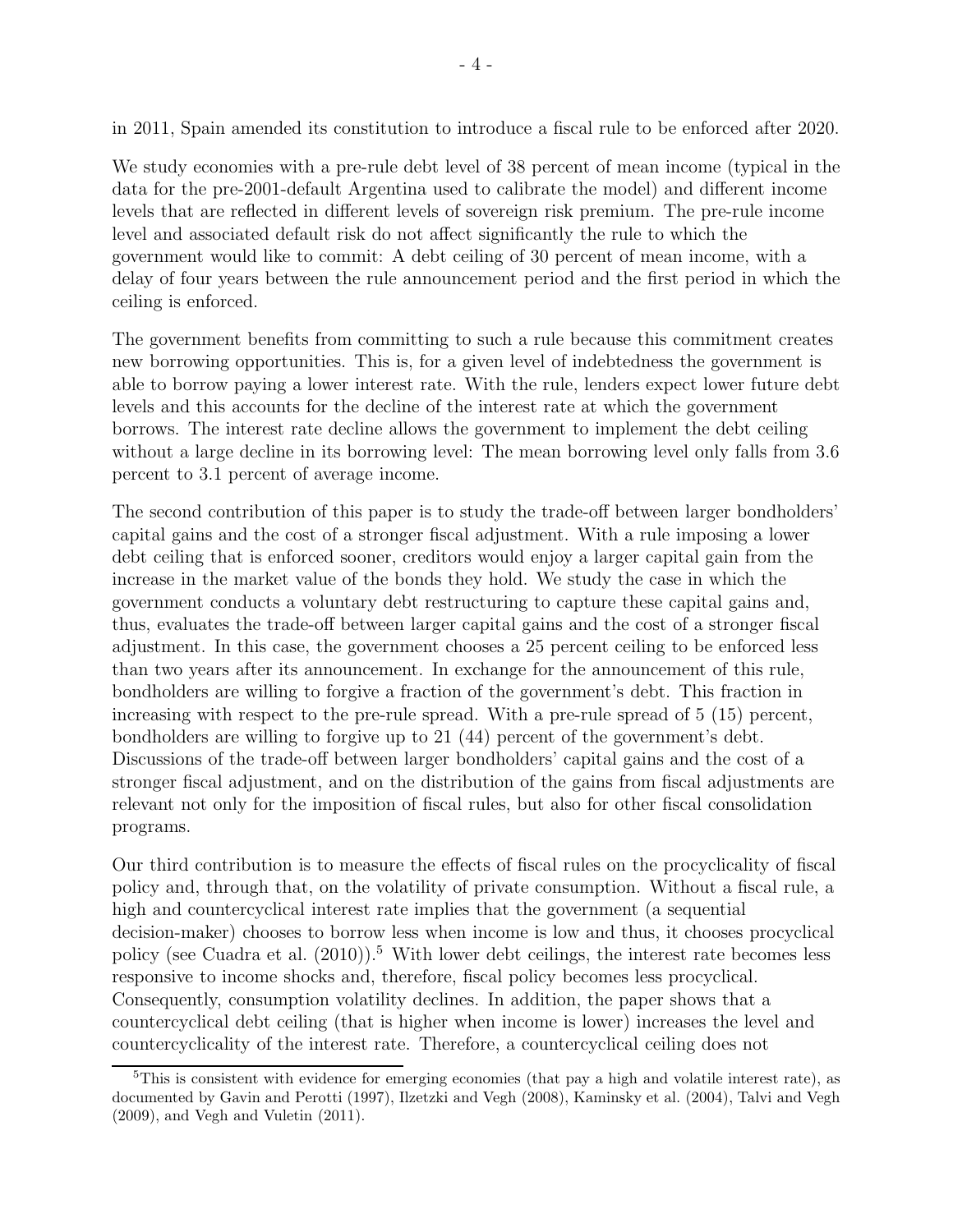in 2011, Spain amended its constitution to introduce a fiscal rule to be enforced after 2020.

We study economies with a pre-rule debt level of 38 percent of mean income (typical in the data for the pre-2001-default Argentina used to calibrate the model) and different income levels that are reflected in different levels of sovereign risk premium. The pre-rule income level and associated default risk do not affect significantly the rule to which the government would like to commit: A debt ceiling of 30 percent of mean income, with a delay of four years between the rule announcement period and the first period in which the ceiling is enforced.

The government benefits from committing to such a rule because this commitment creates new borrowing opportunities. This is, for a given level of indebtedness the government is able to borrow paying a lower interest rate. With the rule, lenders expect lower future debt levels and this accounts for the decline of the interest rate at which the government borrows. The interest rate decline allows the government to implement the debt ceiling without a large decline in its borrowing level: The mean borrowing level only falls from 3.6 percent to 3.1 percent of average income.

The second contribution of this paper is to study the trade-off between larger bondholders' capital gains and the cost of a stronger fiscal adjustment. With a rule imposing a lower debt ceiling that is enforced sooner, creditors would enjoy a larger capital gain from the increase in the market value of the bonds they hold. We study the case in which the government conducts a voluntary debt restructuring to capture these capital gains and, thus, evaluates the trade-off between larger capital gains and the cost of a stronger fiscal adjustment. In this case, the government chooses a 25 percent ceiling to be enforced less than two years after its announcement. In exchange for the announcement of this rule, bondholders are willing to forgive a fraction of the government's debt. This fraction in increasing with respect to the pre-rule spread. With a pre-rule spread of 5 (15) percent, bondholders are willing to forgive up to 21 (44) percent of the government's debt. Discussions of the trade-off between larger bondholders' capital gains and the cost of a stronger fiscal adjustment, and on the distribution of the gains from fiscal adjustments are relevant not only for the imposition of fiscal rules, but also for other fiscal consolidation programs.

Our third contribution is to measure the effects of fiscal rules on the procyclicality of fiscal policy and, through that, on the volatility of private consumption. Without a fiscal rule, a high and countercyclical interest rate implies that the government (a sequential decision-maker) chooses to borrow less when income is low and thus, it chooses procyclical policy (see Cuadra et al.  $(2010)$ ).<sup>5</sup> With lower debt ceilings, the interest rate becomes less responsive to income shocks and, therefore, fiscal policy becomes less procyclical. Consequently, consumption volatility declines. In addition, the paper shows that a countercyclical debt ceiling (that is higher when income is lower) increases the level and countercyclicality of the interest rate. Therefore, a countercyclical ceiling does not

 $5$ This is consistent with evidence for emerging economies (that pay a high and volatile interest rate), as documented by Gavin and Perotti (1997), Ilzetzki and Vegh (2008), Kaminsky et al. (2004), Talvi and Vegh (2009), and Vegh and Vuletin (2011).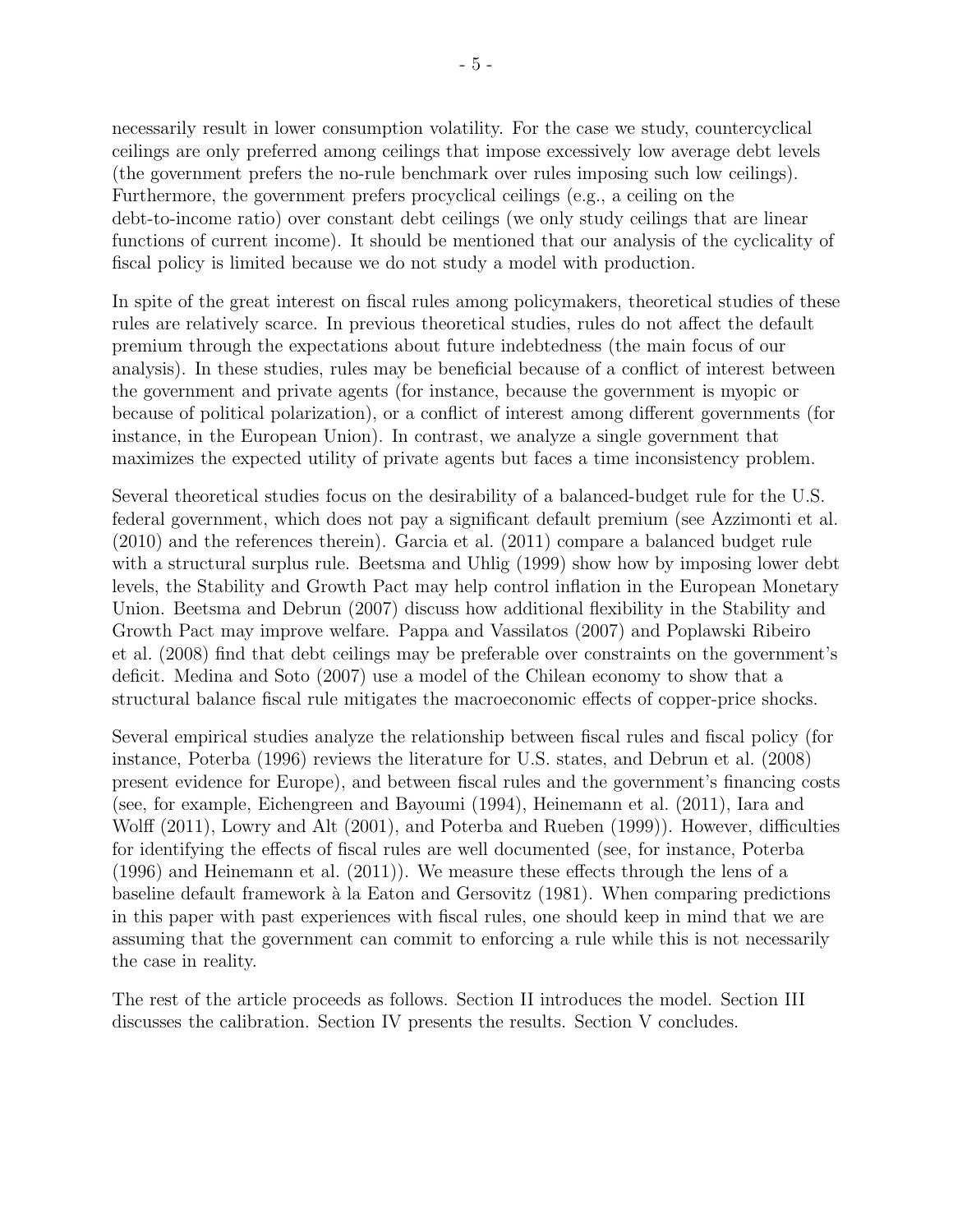necessarily result in lower consumption volatility. For the case we study, countercyclical ceilings are only preferred among ceilings that impose excessively low average debt levels (the government prefers the no-rule benchmark over rules imposing such low ceilings). Furthermore, the government prefers procyclical ceilings (e.g., a ceiling on the debt-to-income ratio) over constant debt ceilings (we only study ceilings that are linear functions of current income). It should be mentioned that our analysis of the cyclicality of fiscal policy is limited because we do not study a model with production.

In spite of the great interest on fiscal rules among policymakers, theoretical studies of these rules are relatively scarce. In previous theoretical studies, rules do not affect the default premium through the expectations about future indebtedness (the main focus of our analysis). In these studies, rules may be beneficial because of a conflict of interest between the government and private agents (for instance, because the government is myopic or because of political polarization), or a conflict of interest among different governments (for instance, in the European Union). In contrast, we analyze a single government that maximizes the expected utility of private agents but faces a time inconsistency problem.

Several theoretical studies focus on the desirability of a balanced-budget rule for the U.S. federal government, which does not pay a significant default premium (see Azzimonti et al. (2010) and the references therein). Garcia et al. (2011) compare a balanced budget rule with a structural surplus rule. Beetsma and Uhlig (1999) show how by imposing lower debt levels, the Stability and Growth Pact may help control inflation in the European Monetary Union. Beetsma and Debrun (2007) discuss how additional flexibility in the Stability and Growth Pact may improve welfare. Pappa and Vassilatos (2007) and Poplawski Ribeiro et al. (2008) find that debt ceilings may be preferable over constraints on the government's deficit. Medina and Soto (2007) use a model of the Chilean economy to show that a structural balance fiscal rule mitigates the macroeconomic effects of copper-price shocks.

Several empirical studies analyze the relationship between fiscal rules and fiscal policy (for instance, Poterba (1996) reviews the literature for U.S. states, and Debrun et al. (2008) present evidence for Europe), and between fiscal rules and the government's financing costs (see, for example, Eichengreen and Bayoumi (1994), Heinemann et al. (2011), Iara and Wolff (2011), Lowry and Alt (2001), and Poterba and Rueben (1999)). However, difficulties for identifying the effects of fiscal rules are well documented (see, for instance, Poterba (1996) and Heinemann et al. (2011)). We measure these effects through the lens of a baseline default framework à la Eaton and Gersovitz (1981). When comparing predictions in this paper with past experiences with fiscal rules, one should keep in mind that we are assuming that the government can commit to enforcing a rule while this is not necessarily the case in reality.

The rest of the article proceeds as follows. Section II introduces the model. Section III discusses the calibration. Section IV presents the results. Section V concludes.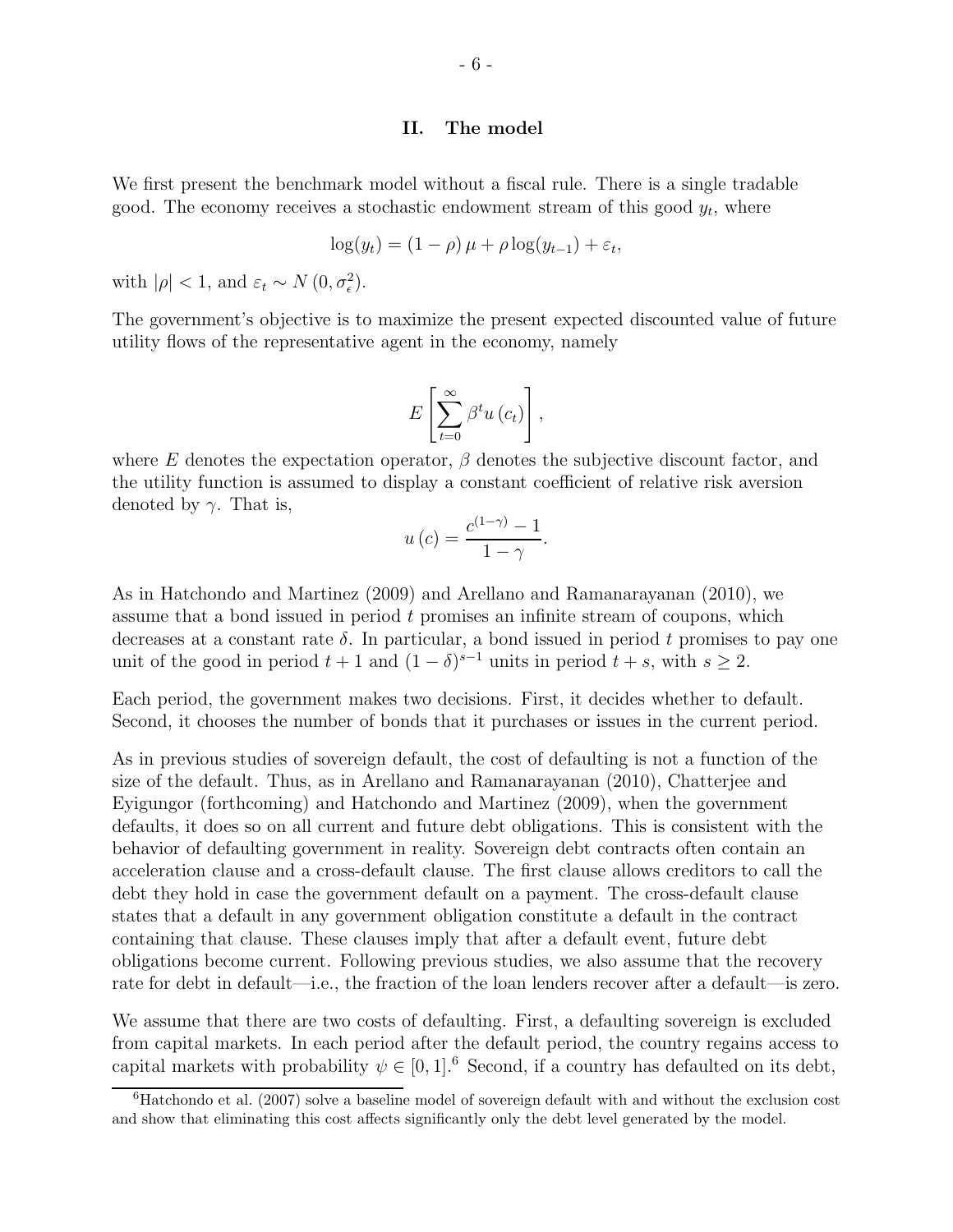#### II. The model

We first present the benchmark model without a fiscal rule. There is a single tradable good. The economy receives a stochastic endowment stream of this good  $y_t$ , where

$$
\log(y_t) = (1 - \rho)\,\mu + \rho\log(y_{t-1}) + \varepsilon_t,
$$

with  $|\rho| < 1$ , and  $\varepsilon_t \sim N(0, \sigma_{\epsilon}^2)$ .

The government's objective is to maximize the present expected discounted value of future utility flows of the representative agent in the economy, namely

$$
E\left[\sum_{t=0}^{\infty}\beta^t u\left(c_t\right)\right],
$$

where E denotes the expectation operator,  $\beta$  denotes the subjective discount factor, and the utility function is assumed to display a constant coefficient of relative risk aversion denoted by  $\gamma$ . That is,

$$
u\left(c\right) = \frac{c^{(1-\gamma)} - 1}{1 - \gamma}.
$$

As in Hatchondo and Martinez (2009) and Arellano and Ramanarayanan (2010), we assume that a bond issued in period t promises an infinite stream of coupons, which decreases at a constant rate  $\delta$ . In particular, a bond issued in period t promises to pay one unit of the good in period  $t + 1$  and  $(1 - \delta)^{s-1}$  units in period  $t + s$ , with  $s \geq 2$ .

Each period, the government makes two decisions. First, it decides whether to default. Second, it chooses the number of bonds that it purchases or issues in the current period.

As in previous studies of sovereign default, the cost of defaulting is not a function of the size of the default. Thus, as in Arellano and Ramanarayanan (2010), Chatterjee and Eyigungor (forthcoming) and Hatchondo and Martinez (2009), when the government defaults, it does so on all current and future debt obligations. This is consistent with the behavior of defaulting government in reality. Sovereign debt contracts often contain an acceleration clause and a cross-default clause. The first clause allows creditors to call the debt they hold in case the government default on a payment. The cross-default clause states that a default in any government obligation constitute a default in the contract containing that clause. These clauses imply that after a default event, future debt obligations become current. Following previous studies, we also assume that the recovery rate for debt in default—i.e., the fraction of the loan lenders recover after a default—is zero.

We assume that there are two costs of defaulting. First, a defaulting sovereign is excluded from capital markets. In each period after the default period, the country regains access to capital markets with probability  $\psi \in [0, 1]$ .<sup>6</sup> Second, if a country has defaulted on its debt,

 $6H$ atchondo et al. (2007) solve a baseline model of sovereign default with and without the exclusion cost and show that eliminating this cost affects significantly only the debt level generated by the model.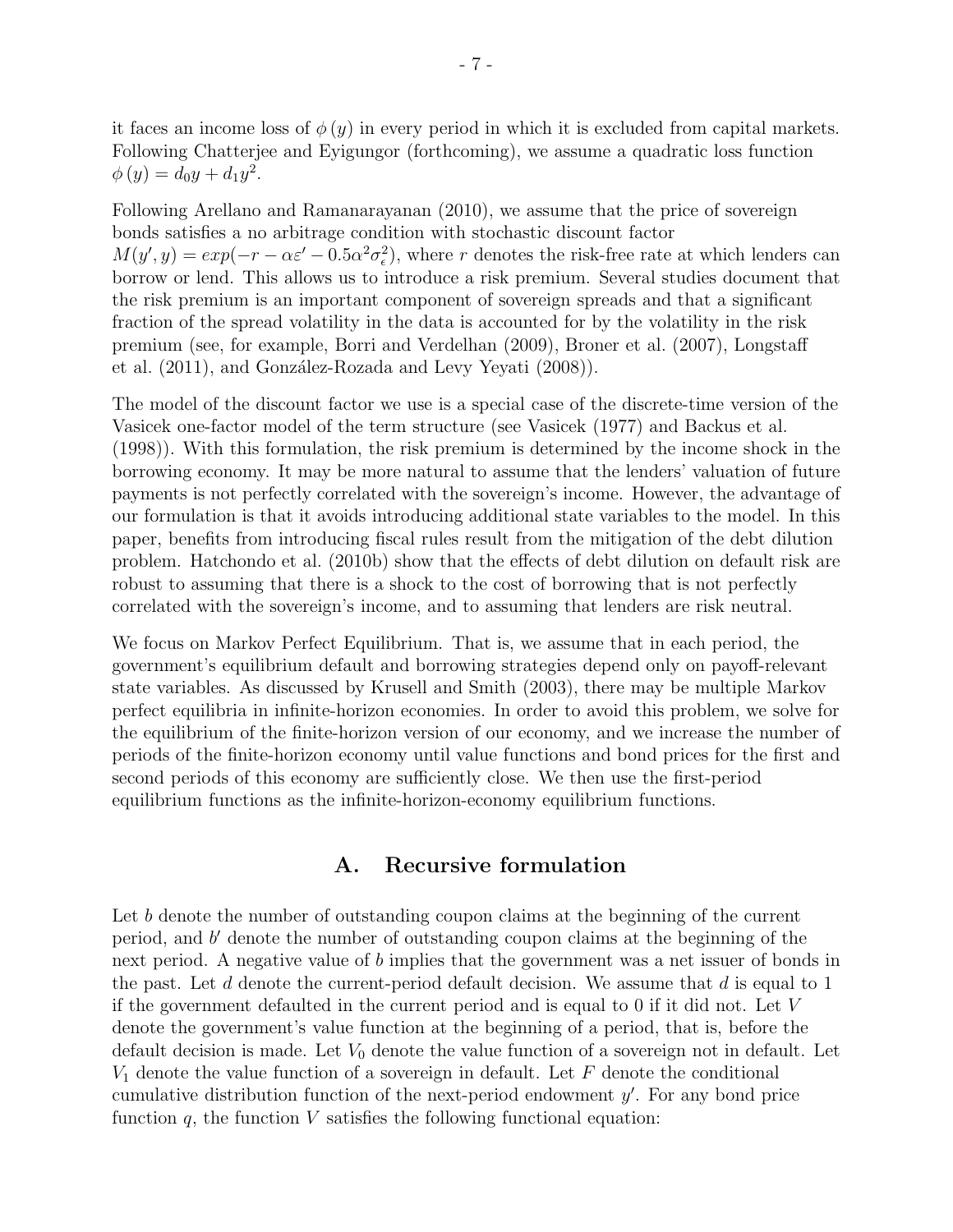it faces an income loss of  $\phi(y)$  in every period in which it is excluded from capital markets. Following Chatterjee and Eyigungor (forthcoming), we assume a quadratic loss function  $\phi(y) = d_0y + d_1y^2.$ 

Following Arellano and Ramanarayanan (2010), we assume that the price of sovereign bonds satisfies a no arbitrage condition with stochastic discount factor  $M(y', y) = exp(-r - \alpha \varepsilon' - 0.5\alpha^2 \sigma_{\epsilon}^2)$ , where r denotes the risk-free rate at which lenders can borrow or lend. This allows us to introduce a risk premium. Several studies document that the risk premium is an important component of sovereign spreads and that a significant fraction of the spread volatility in the data is accounted for by the volatility in the risk premium (see, for example, Borri and Verdelhan (2009), Broner et al. (2007), Longstaff et al.  $(2011)$ , and González-Rozada and Levy Yeyati  $(2008)$ ).

The model of the discount factor we use is a special case of the discrete-time version of the Vasicek one-factor model of the term structure (see Vasicek (1977) and Backus et al. (1998)). With this formulation, the risk premium is determined by the income shock in the borrowing economy. It may be more natural to assume that the lenders' valuation of future payments is not perfectly correlated with the sovereign's income. However, the advantage of our formulation is that it avoids introducing additional state variables to the model. In this paper, benefits from introducing fiscal rules result from the mitigation of the debt dilution problem. Hatchondo et al. (2010b) show that the effects of debt dilution on default risk are robust to assuming that there is a shock to the cost of borrowing that is not perfectly correlated with the sovereign's income, and to assuming that lenders are risk neutral.

We focus on Markov Perfect Equilibrium. That is, we assume that in each period, the government's equilibrium default and borrowing strategies depend only on payoff-relevant state variables. As discussed by Krusell and Smith (2003), there may be multiple Markov perfect equilibria in infinite-horizon economies. In order to avoid this problem, we solve for the equilibrium of the finite-horizon version of our economy, and we increase the number of periods of the finite-horizon economy until value functions and bond prices for the first and second periods of this economy are sufficiently close. We then use the first-period equilibrium functions as the infinite-horizon-economy equilibrium functions.

#### A. Recursive formulation

Let b denote the number of outstanding coupon claims at the beginning of the current period, and b' denote the number of outstanding coupon claims at the beginning of the next period. A negative value of b implies that the government was a net issuer of bonds in the past. Let  $d$  denote the current-period default decision. We assume that  $d$  is equal to 1 if the government defaulted in the current period and is equal to 0 if it did not. Let V denote the government's value function at the beginning of a period, that is, before the default decision is made. Let  $V_0$  denote the value function of a sovereign not in default. Let  $V_1$  denote the value function of a sovereign in default. Let  $F$  denote the conditional cumulative distribution function of the next-period endowment  $y'$ . For any bond price function  $q$ , the function  $V$  satisfies the following functional equation: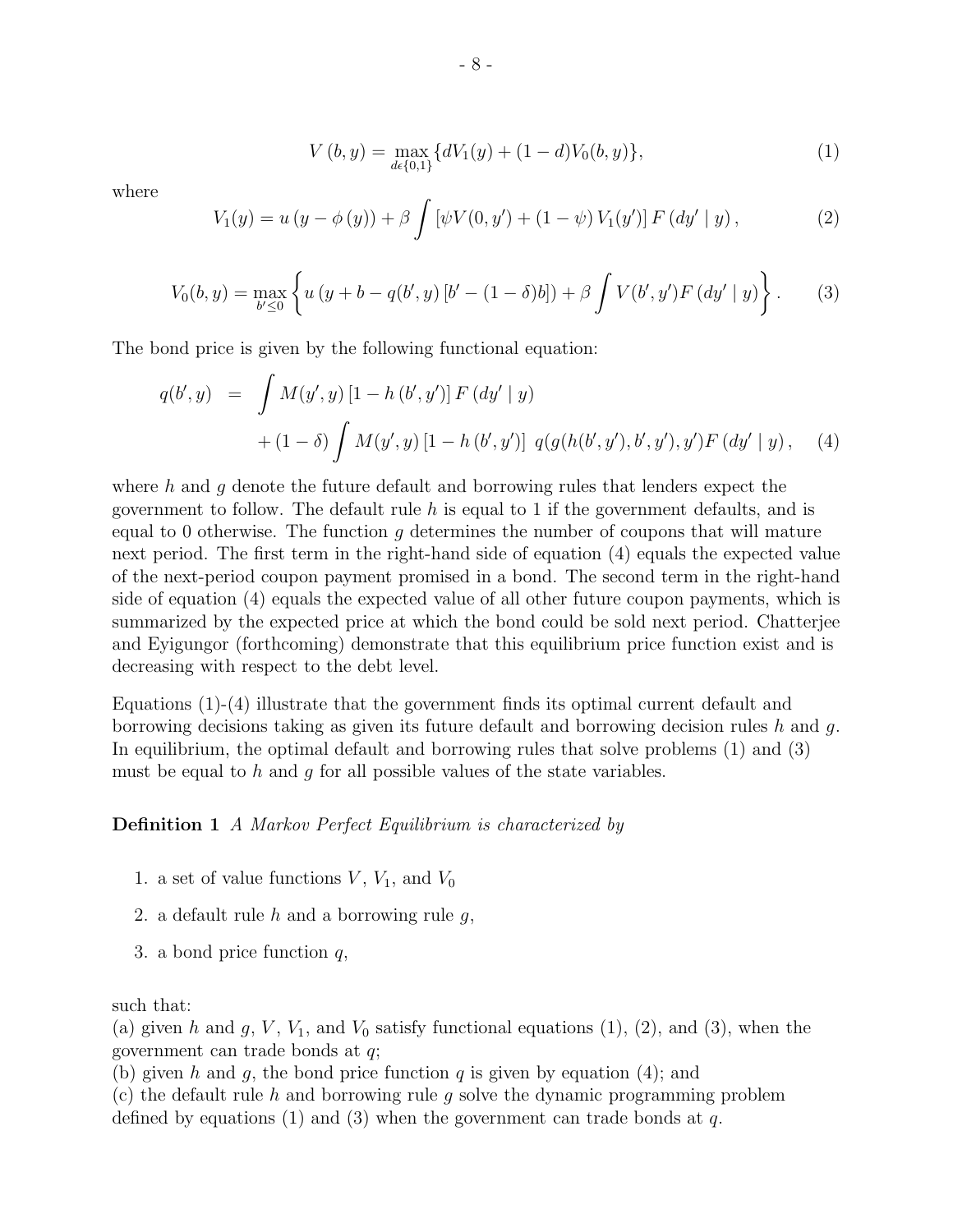$$
V(b, y) = \max_{d \in \{0, 1\}} \{dV_1(y) + (1 - d)V_0(b, y)\},\tag{1}
$$

where

$$
V_1(y) = u (y - \phi(y)) + \beta \int \left[ \psi V(0, y') + (1 - \psi) V_1(y') \right] F(dy' | y), \tag{2}
$$

$$
V_0(b, y) = \max_{b' \le 0} \left\{ u \left( y + b - q(b', y) \left[ b' - (1 - \delta)b \right] \right) + \beta \int V(b', y') F\left( dy' \mid y \right) \right\}.
$$
 (3)

The bond price is given by the following functional equation:

$$
q(b', y) = \int M(y', y) [1 - h(b', y')] F(dy' | y)
$$
  
+ 
$$
(1 - \delta) \int M(y', y) [1 - h(b', y')] q(g(h(b', y'), b', y'), y') F(dy' | y), (4)
$$

where  $h$  and  $g$  denote the future default and borrowing rules that lenders expect the government to follow. The default rule  $h$  is equal to 1 if the government defaults, and is equal to 0 otherwise. The function q determines the number of coupons that will mature next period. The first term in the right-hand side of equation (4) equals the expected value of the next-period coupon payment promised in a bond. The second term in the right-hand side of equation (4) equals the expected value of all other future coupon payments, which is summarized by the expected price at which the bond could be sold next period. Chatterjee and Eyigungor (forthcoming) demonstrate that this equilibrium price function exist and is decreasing with respect to the debt level.

Equations (1)-(4) illustrate that the government finds its optimal current default and borrowing decisions taking as given its future default and borrowing decision rules h and g. In equilibrium, the optimal default and borrowing rules that solve problems (1) and (3) must be equal to h and  $q$  for all possible values of the state variables.

#### Definition 1 A Markov Perfect Equilibrium is characterized by

- 1. a set of value functions  $V, V_1$ , and  $V_0$
- 2. a default rule  $h$  and a borrowing rule  $g$ ,
- 3. a bond price function  $q$ ,

#### such that:

(a) given h and g, V,  $V_1$ , and  $V_0$  satisfy functional equations (1), (2), and (3), when the government can trade bonds at q;

(b) given h and g, the bond price function q is given by equation (4); and

(c) the default rule h and borrowing rule g solve the dynamic programming problem defined by equations (1) and (3) when the government can trade bonds at  $q$ .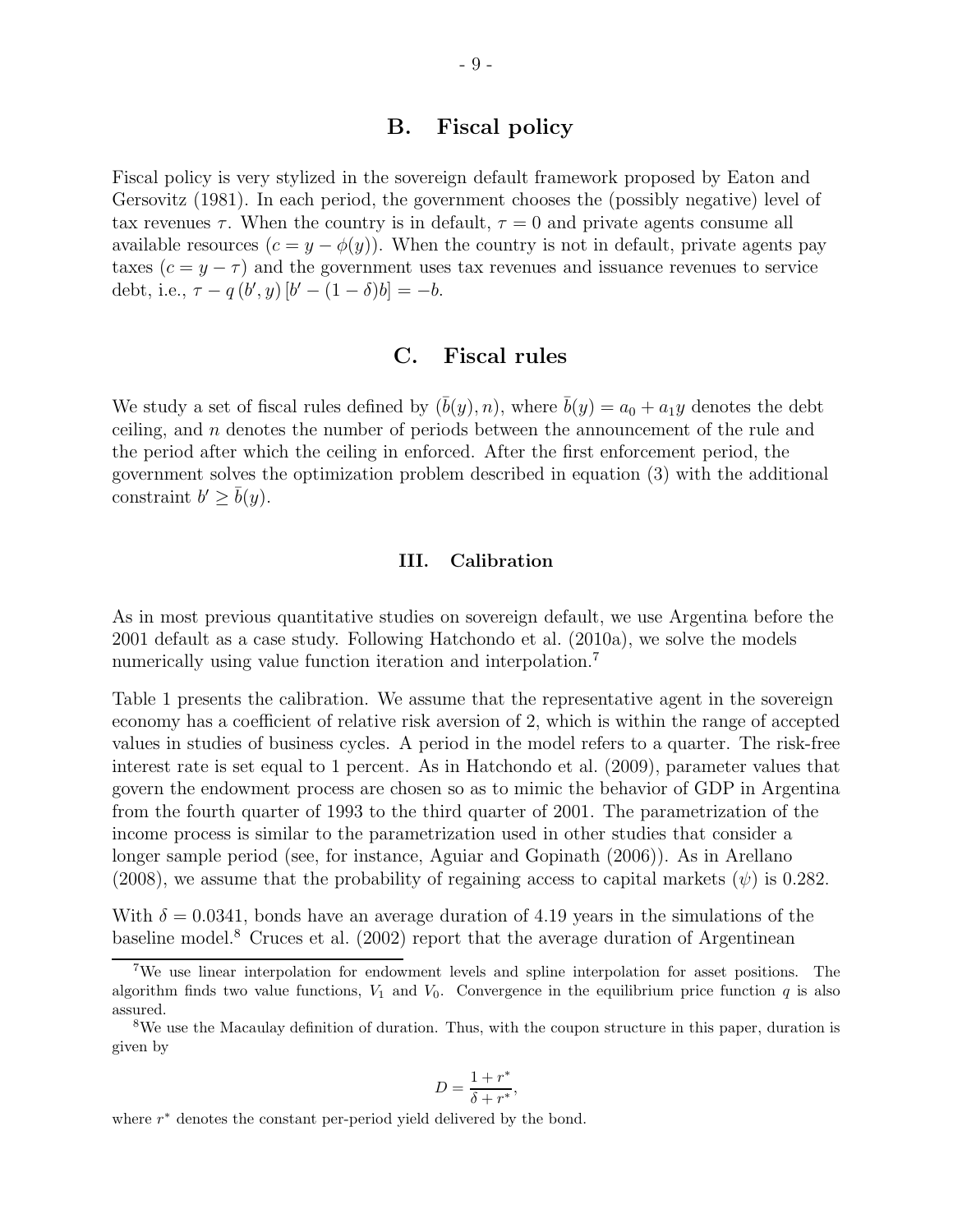#### B. Fiscal policy

Fiscal policy is very stylized in the sovereign default framework proposed by Eaton and Gersovitz (1981). In each period, the government chooses the (possibly negative) level of tax revenues  $\tau$ . When the country is in default,  $\tau = 0$  and private agents consume all available resources  $(c = y - \phi(y))$ . When the country is not in default, private agents pay taxes  $(c = y - \tau)$  and the government uses tax revenues and issuance revenues to service debt, i.e.,  $\tau - q(b', y) [b' - (1 - \delta)b] = -b$ .

#### C. Fiscal rules

We study a set of fiscal rules defined by  $(\bar{b}(y), n)$ , where  $\bar{b}(y) = a_0 + a_1y$  denotes the debt ceiling, and  $n$  denotes the number of periods between the announcement of the rule and the period after which the ceiling in enforced. After the first enforcement period, the government solves the optimization problem described in equation (3) with the additional constraint  $b' \geq \overline{b}(y)$ .

#### III. Calibration

As in most previous quantitative studies on sovereign default, we use Argentina before the 2001 default as a case study. Following Hatchondo et al. (2010a), we solve the models numerically using value function iteration and interpolation.<sup>7</sup>

Table 1 presents the calibration. We assume that the representative agent in the sovereign economy has a coefficient of relative risk aversion of 2, which is within the range of accepted values in studies of business cycles. A period in the model refers to a quarter. The risk-free interest rate is set equal to 1 percent. As in Hatchondo et al. (2009), parameter values that govern the endowment process are chosen so as to mimic the behavior of GDP in Argentina from the fourth quarter of 1993 to the third quarter of 2001. The parametrization of the income process is similar to the parametrization used in other studies that consider a longer sample period (see, for instance, Aguiar and Gopinath (2006)). As in Arellano (2008), we assume that the probability of regaining access to capital markets ( $\psi$ ) is 0.282.

With  $\delta = 0.0341$ , bonds have an average duration of 4.19 years in the simulations of the baseline model.<sup>8</sup> Cruces et al. (2002) report that the average duration of Argentinean

$$
D = \frac{1 + r^*}{\delta + r^*},
$$

where  $r^*$  denotes the constant per-period yield delivered by the bond.

<sup>7</sup>We use linear interpolation for endowment levels and spline interpolation for asset positions. The algorithm finds two value functions,  $V_1$  and  $V_0$ . Convergence in the equilibrium price function q is also assured.

<sup>8</sup>We use the Macaulay definition of duration. Thus, with the coupon structure in this paper, duration is given by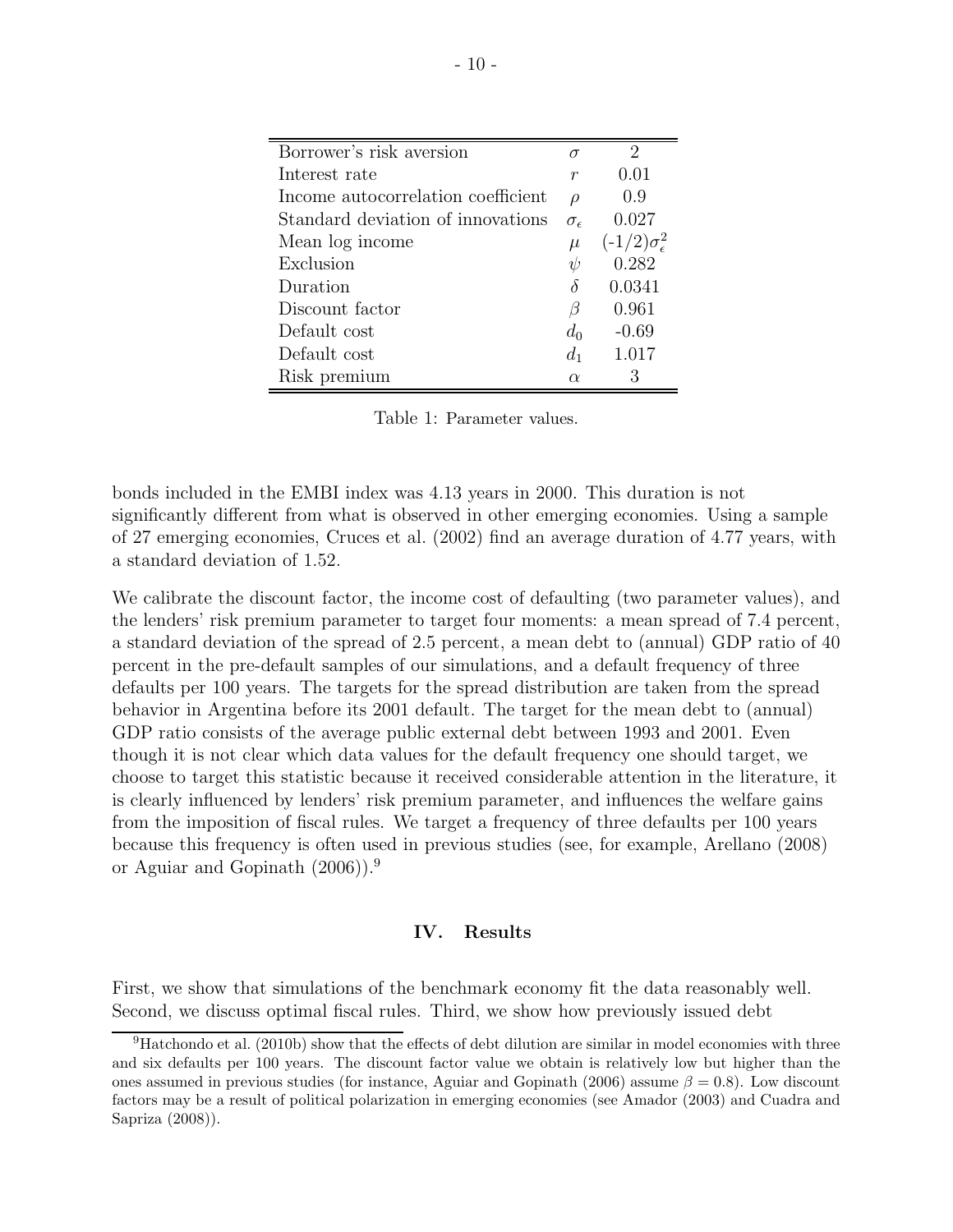| Borrower's risk aversion           | σ                   |                               |
|------------------------------------|---------------------|-------------------------------|
| Interest rate                      | $\boldsymbol{r}$    | 0.01                          |
| Income autocorrelation coefficient | $\rho$              | 0.9                           |
| Standard deviation of innovations  | $\sigma_{\epsilon}$ | 0.027                         |
| Mean log income                    | $\mu$               | $(-1/2)\sigma_{\epsilon}^{2}$ |
| Exclusion                          | ψ                   | 0.282                         |
| Duration                           | δ                   | 0.0341                        |
| Discount factor                    | β                   | 0.961                         |
| Default cost                       | $d_0$               | $-0.69$                       |
| Default cost                       | $d_1$               | 1.017                         |
| Risk premium                       | $\alpha$            | 3                             |

Table 1: Parameter values.

bonds included in the EMBI index was 4.13 years in 2000. This duration is not significantly different from what is observed in other emerging economies. Using a sample of 27 emerging economies, Cruces et al. (2002) find an average duration of 4.77 years, with a standard deviation of 1.52.

We calibrate the discount factor, the income cost of defaulting (two parameter values), and the lenders' risk premium parameter to target four moments: a mean spread of 7.4 percent, a standard deviation of the spread of 2.5 percent, a mean debt to (annual) GDP ratio of 40 percent in the pre-default samples of our simulations, and a default frequency of three defaults per 100 years. The targets for the spread distribution are taken from the spread behavior in Argentina before its 2001 default. The target for the mean debt to (annual) GDP ratio consists of the average public external debt between 1993 and 2001. Even though it is not clear which data values for the default frequency one should target, we choose to target this statistic because it received considerable attention in the literature, it is clearly influenced by lenders' risk premium parameter, and influences the welfare gains from the imposition of fiscal rules. We target a frequency of three defaults per 100 years because this frequency is often used in previous studies (see, for example, Arellano (2008) or Aguiar and Gopinath (2006)).<sup>9</sup>

#### IV. Results

First, we show that simulations of the benchmark economy fit the data reasonably well. Second, we discuss optimal fiscal rules. Third, we show how previously issued debt

 $^{9}$ Hatchondo et al. (2010b) show that the effects of debt dilution are similar in model economies with three and six defaults per 100 years. The discount factor value we obtain is relatively low but higher than the ones assumed in previous studies (for instance, Aguiar and Gopinath (2006) assume  $\beta = 0.8$ ). Low discount factors may be a result of political polarization in emerging economies (see Amador (2003) and Cuadra and Sapriza (2008)).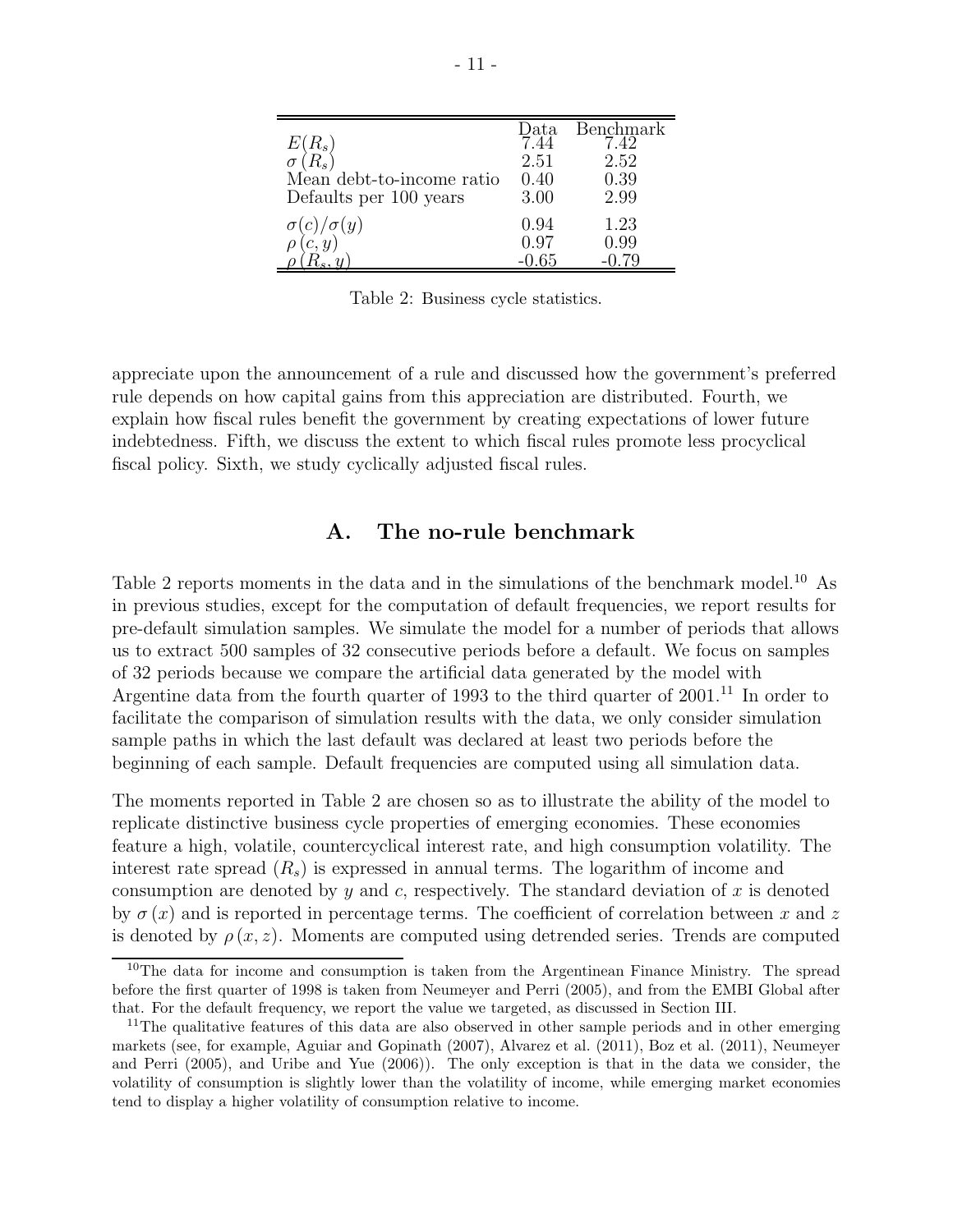| $E(R_s)$                  | Data | Benchmark<br>7.42 |
|---------------------------|------|-------------------|
|                           | 2.51 | 2.52              |
| Mean debt-to-income ratio | 0.40 | 0.39              |
| Defaults per 100 years    | 3.00 | 2.99              |
| $\sigma(y)$               | 0.94 | 1.23              |
|                           | 0.97 | 0.99              |
|                           |      |                   |

Table 2: Business cycle statistics.

appreciate upon the announcement of a rule and discussed how the government's preferred rule depends on how capital gains from this appreciation are distributed. Fourth, we explain how fiscal rules benefit the government by creating expectations of lower future indebtedness. Fifth, we discuss the extent to which fiscal rules promote less procyclical fiscal policy. Sixth, we study cyclically adjusted fiscal rules.

#### A. The no-rule benchmark

Table 2 reports moments in the data and in the simulations of the benchmark model.<sup>10</sup> As in previous studies, except for the computation of default frequencies, we report results for pre-default simulation samples. We simulate the model for a number of periods that allows us to extract 500 samples of 32 consecutive periods before a default. We focus on samples of 32 periods because we compare the artificial data generated by the model with Argentine data from the fourth quarter of 1993 to the third quarter of  $2001$ .<sup>11</sup> In order to facilitate the comparison of simulation results with the data, we only consider simulation sample paths in which the last default was declared at least two periods before the beginning of each sample. Default frequencies are computed using all simulation data.

The moments reported in Table 2 are chosen so as to illustrate the ability of the model to replicate distinctive business cycle properties of emerging economies. These economies feature a high, volatile, countercyclical interest rate, and high consumption volatility. The interest rate spread  $(R_s)$  is expressed in annual terms. The logarithm of income and consumption are denoted by y and c, respectively. The standard deviation of x is denoted by  $\sigma(x)$  and is reported in percentage terms. The coefficient of correlation between x and z is denoted by  $\rho(x, z)$ . Moments are computed using detrended series. Trends are computed

<sup>&</sup>lt;sup>10</sup>The data for income and consumption is taken from the Argentinean Finance Ministry. The spread before the first quarter of 1998 is taken from Neumeyer and Perri (2005), and from the EMBI Global after that. For the default frequency, we report the value we targeted, as discussed in Section III.

<sup>&</sup>lt;sup>11</sup>The qualitative features of this data are also observed in other sample periods and in other emerging markets (see, for example, Aguiar and Gopinath (2007), Alvarez et al. (2011), Boz et al. (2011), Neumeyer and Perri (2005), and Uribe and Yue (2006)). The only exception is that in the data we consider, the volatility of consumption is slightly lower than the volatility of income, while emerging market economies tend to display a higher volatility of consumption relative to income.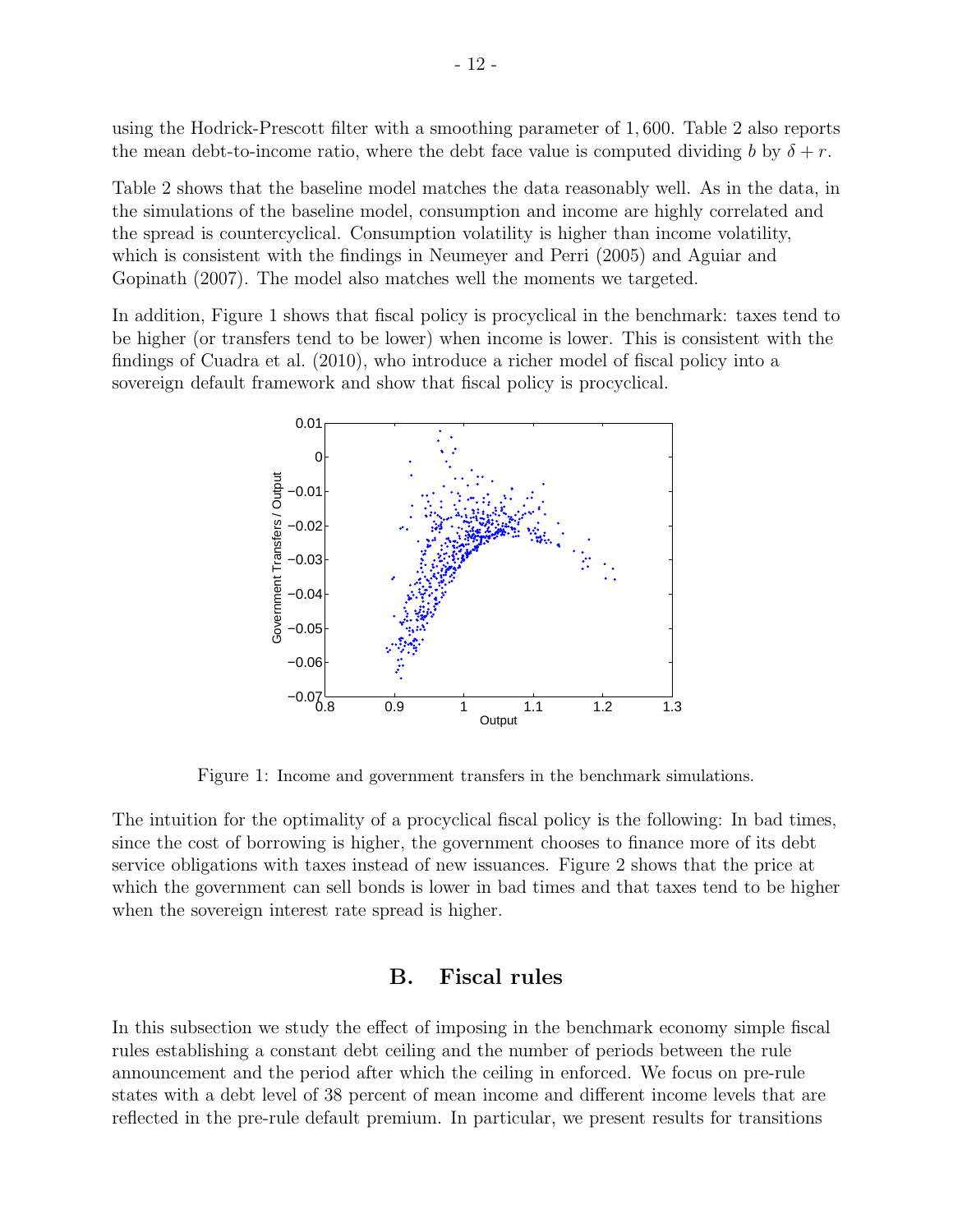using the Hodrick-Prescott filter with a smoothing parameter of 1, 600. Table 2 also reports the mean debt-to-income ratio, where the debt face value is computed dividing b by  $\delta + r$ .

Table 2 shows that the baseline model matches the data reasonably well. As in the data, in the simulations of the baseline model, consumption and income are highly correlated and the spread is countercyclical. Consumption volatility is higher than income volatility, which is consistent with the findings in Neumeyer and Perri (2005) and Aguiar and Gopinath (2007). The model also matches well the moments we targeted.

In addition, Figure 1 shows that fiscal policy is procyclical in the benchmark: taxes tend to be higher (or transfers tend to be lower) when income is lower. This is consistent with the findings of Cuadra et al. (2010), who introduce a richer model of fiscal policy into a sovereign default framework and show that fiscal policy is procyclical.



Figure 1: Income and government transfers in the benchmark simulations.

The intuition for the optimality of a procyclical fiscal policy is the following: In bad times, since the cost of borrowing is higher, the government chooses to finance more of its debt service obligations with taxes instead of new issuances. Figure 2 shows that the price at which the government can sell bonds is lower in bad times and that taxes tend to be higher when the sovereign interest rate spread is higher.

#### B. Fiscal rules

In this subsection we study the effect of imposing in the benchmark economy simple fiscal rules establishing a constant debt ceiling and the number of periods between the rule announcement and the period after which the ceiling in enforced. We focus on pre-rule states with a debt level of 38 percent of mean income and different income levels that are reflected in the pre-rule default premium. In particular, we present results for transitions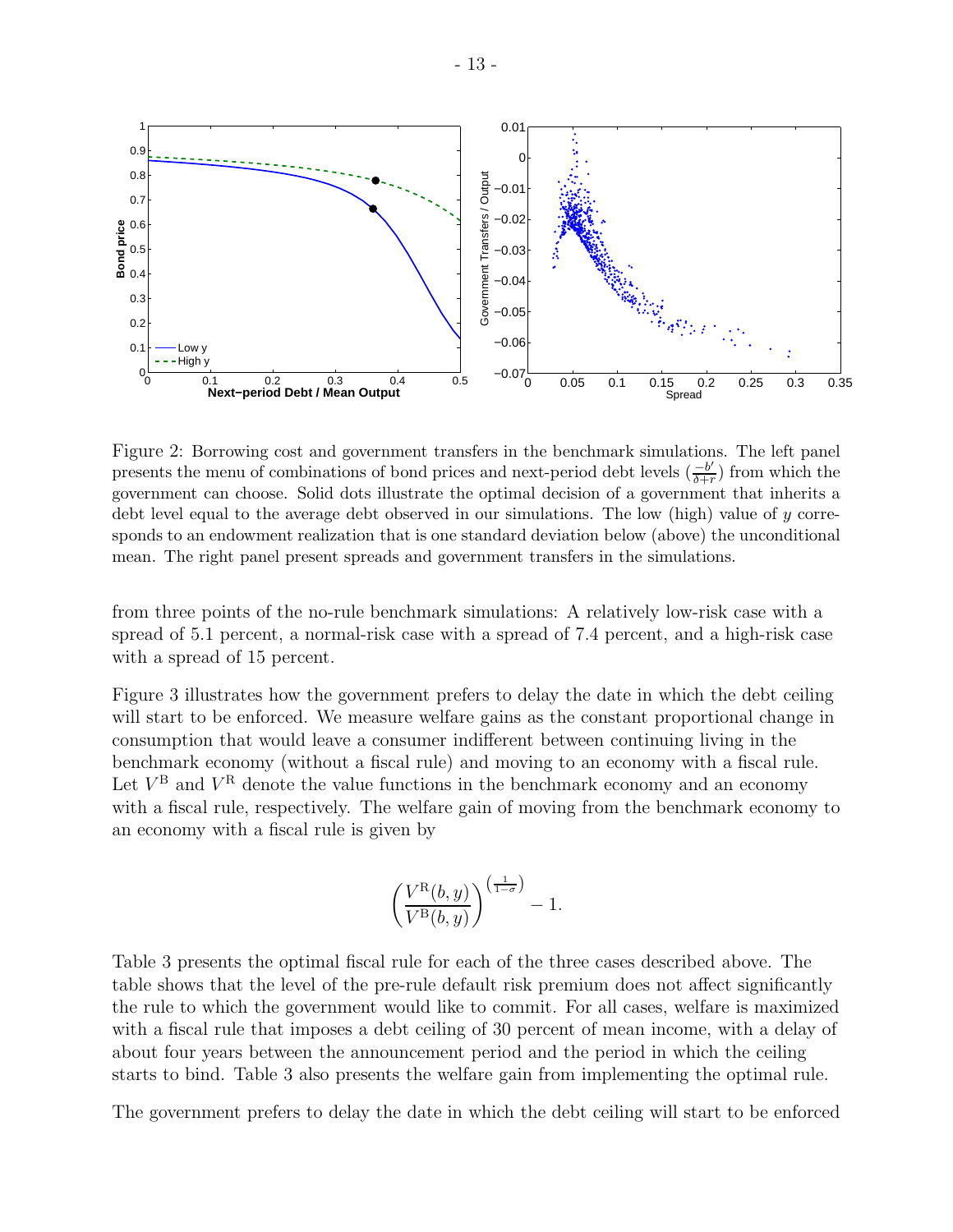

Figure 2: Borrowing cost and government transfers in the benchmark simulations. The left panel presents the menu of combinations of bond prices and next-period debt levels  $\left(\frac{-b'}{b+c}\right)$  $\frac{-b'}{\delta+r}$  from which the government can choose. Solid dots illustrate the optimal decision of a government that inherits a debt level equal to the average debt observed in our simulations. The low (high) value of y corresponds to an endowment realization that is one standard deviation below (above) the unconditional mean. The right panel present spreads and government transfers in the simulations.

from three points of the no-rule benchmark simulations: A relatively low-risk case with a spread of 5.1 percent, a normal-risk case with a spread of 7.4 percent, and a high-risk case with a spread of 15 percent.

Figure 3 illustrates how the government prefers to delay the date in which the debt ceiling will start to be enforced. We measure welfare gains as the constant proportional change in consumption that would leave a consumer indifferent between continuing living in the benchmark economy (without a fiscal rule) and moving to an economy with a fiscal rule. Let  $V^{\text{B}}$  and  $V^{\text{R}}$  denote the value functions in the benchmark economy and an economy with a fiscal rule, respectively. The welfare gain of moving from the benchmark economy to an economy with a fiscal rule is given by

$$
\left(\frac{V^{\mathrm{R}}(b, y)}{V^{\mathrm{B}}(b, y)}\right)^{\left(\frac{1}{1-\sigma}\right)} - 1.
$$

Table 3 presents the optimal fiscal rule for each of the three cases described above. The table shows that the level of the pre-rule default risk premium does not affect significantly the rule to which the government would like to commit. For all cases, welfare is maximized with a fiscal rule that imposes a debt ceiling of 30 percent of mean income, with a delay of about four years between the announcement period and the period in which the ceiling starts to bind. Table 3 also presents the welfare gain from implementing the optimal rule.

The government prefers to delay the date in which the debt ceiling will start to be enforced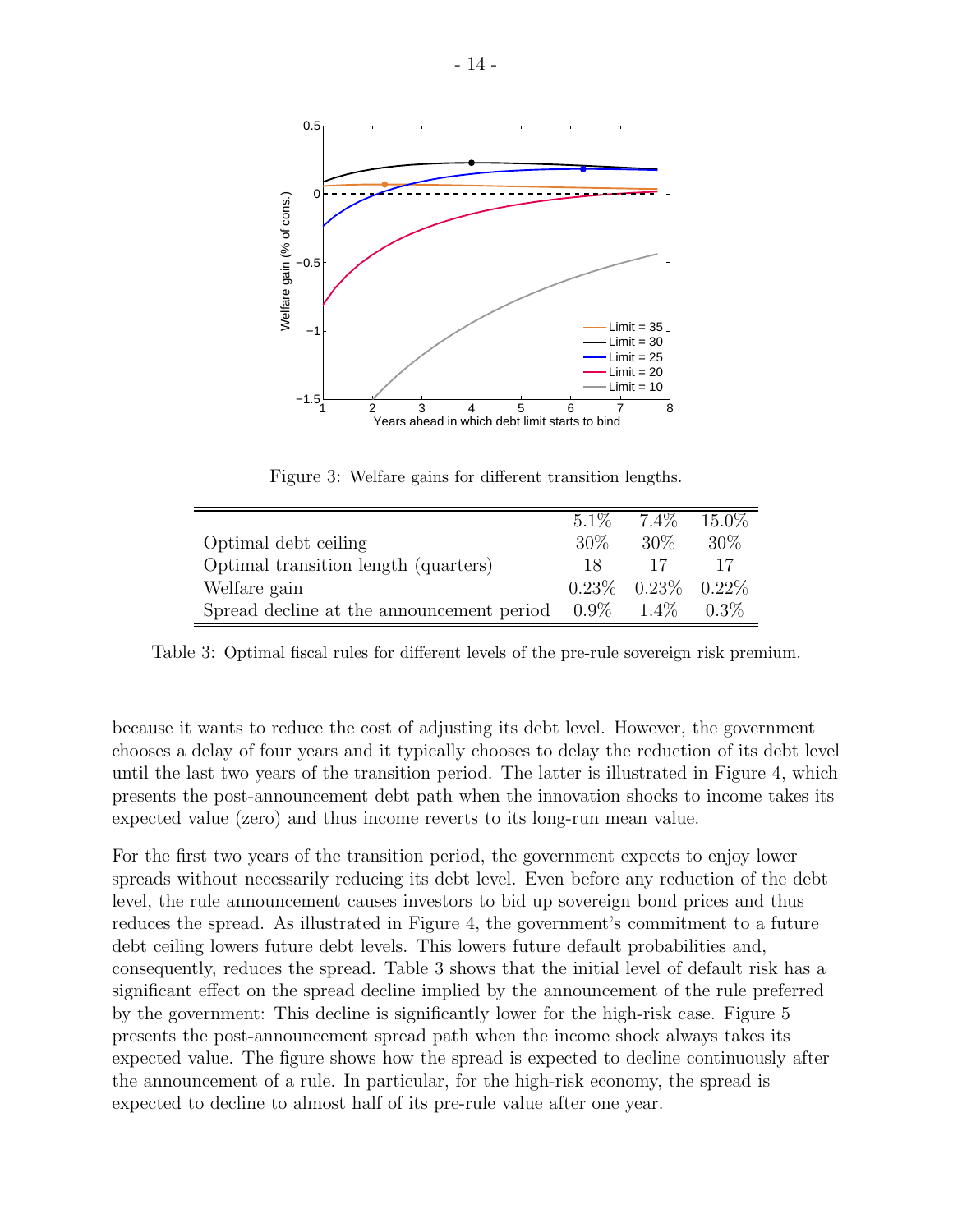

Figure 3: Welfare gains for different transition lengths.

|                                                   | $5.1\%$ | 7.4%                       | 15.0%   |
|---------------------------------------------------|---------|----------------------------|---------|
| Optimal debt ceiling                              | 30\%    | $30\%$                     | 30%     |
| Optimal transition length (quarters)              | 18.     | 17                         |         |
| Welfare gain                                      |         | $0.23\%$ $0.23\%$ $0.22\%$ |         |
| Spread decline at the announcement period $0.9\%$ |         | $1.4\%$                    | $0.3\%$ |

Table 3: Optimal fiscal rules for different levels of the pre-rule sovereign risk premium.

because it wants to reduce the cost of adjusting its debt level. However, the government chooses a delay of four years and it typically chooses to delay the reduction of its debt level until the last two years of the transition period. The latter is illustrated in Figure 4, which presents the post-announcement debt path when the innovation shocks to income takes its expected value (zero) and thus income reverts to its long-run mean value.

For the first two years of the transition period, the government expects to enjoy lower spreads without necessarily reducing its debt level. Even before any reduction of the debt level, the rule announcement causes investors to bid up sovereign bond prices and thus reduces the spread. As illustrated in Figure 4, the government's commitment to a future debt ceiling lowers future debt levels. This lowers future default probabilities and, consequently, reduces the spread. Table 3 shows that the initial level of default risk has a significant effect on the spread decline implied by the announcement of the rule preferred by the government: This decline is significantly lower for the high-risk case. Figure 5 presents the post-announcement spread path when the income shock always takes its expected value. The figure shows how the spread is expected to decline continuously after the announcement of a rule. In particular, for the high-risk economy, the spread is expected to decline to almost half of its pre-rule value after one year.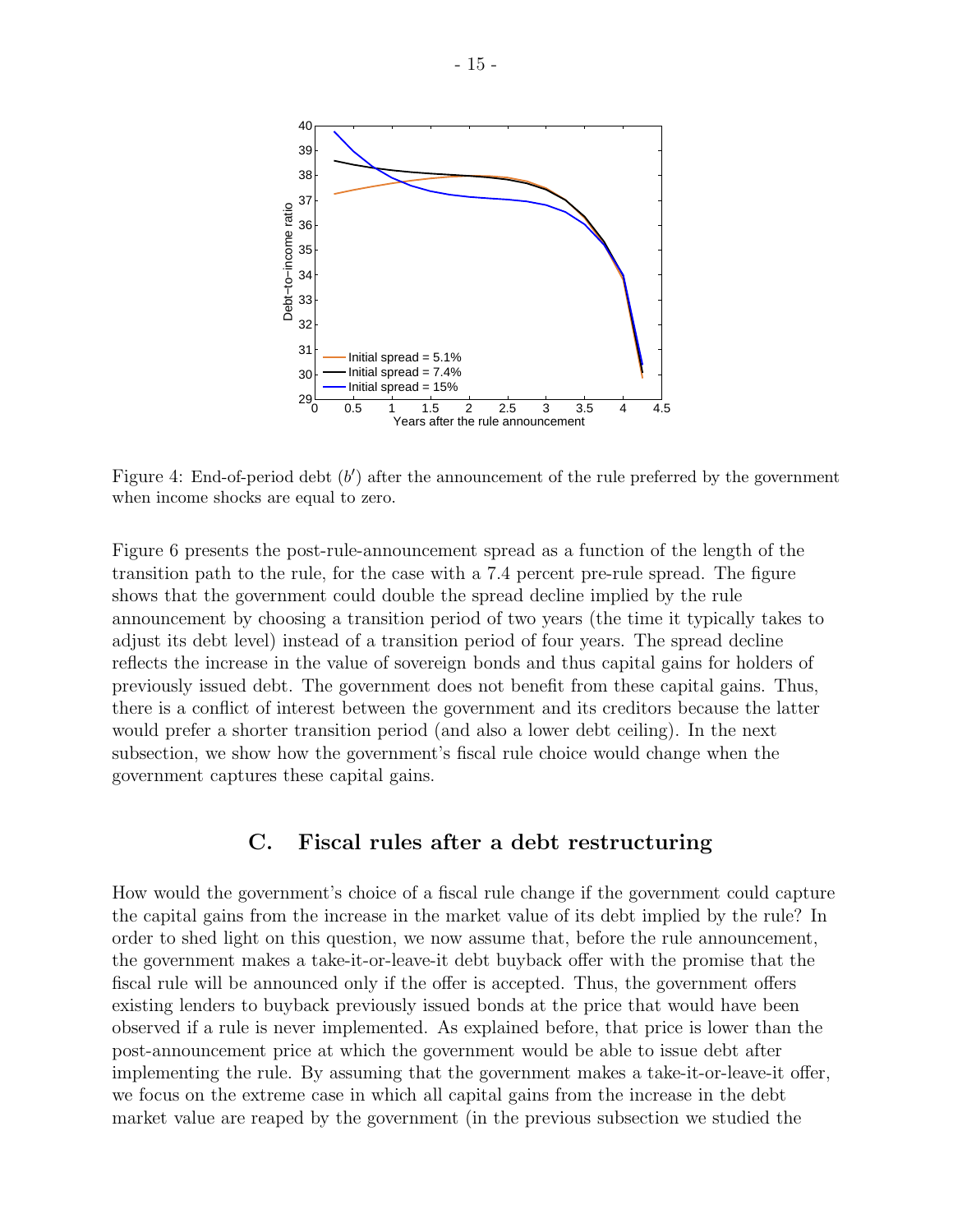

Figure 4: End-of-period debt  $(b')$  after the announcement of the rule preferred by the government when income shocks are equal to zero.

Figure 6 presents the post-rule-announcement spread as a function of the length of the transition path to the rule, for the case with a 7.4 percent pre-rule spread. The figure shows that the government could double the spread decline implied by the rule announcement by choosing a transition period of two years (the time it typically takes to adjust its debt level) instead of a transition period of four years. The spread decline reflects the increase in the value of sovereign bonds and thus capital gains for holders of previously issued debt. The government does not benefit from these capital gains. Thus, there is a conflict of interest between the government and its creditors because the latter would prefer a shorter transition period (and also a lower debt ceiling). In the next subsection, we show how the government's fiscal rule choice would change when the government captures these capital gains.

#### C. Fiscal rules after a debt restructuring

How would the government's choice of a fiscal rule change if the government could capture the capital gains from the increase in the market value of its debt implied by the rule? In order to shed light on this question, we now assume that, before the rule announcement, the government makes a take-it-or-leave-it debt buyback offer with the promise that the fiscal rule will be announced only if the offer is accepted. Thus, the government offers existing lenders to buyback previously issued bonds at the price that would have been observed if a rule is never implemented. As explained before, that price is lower than the post-announcement price at which the government would be able to issue debt after implementing the rule. By assuming that the government makes a take-it-or-leave-it offer, we focus on the extreme case in which all capital gains from the increase in the debt market value are reaped by the government (in the previous subsection we studied the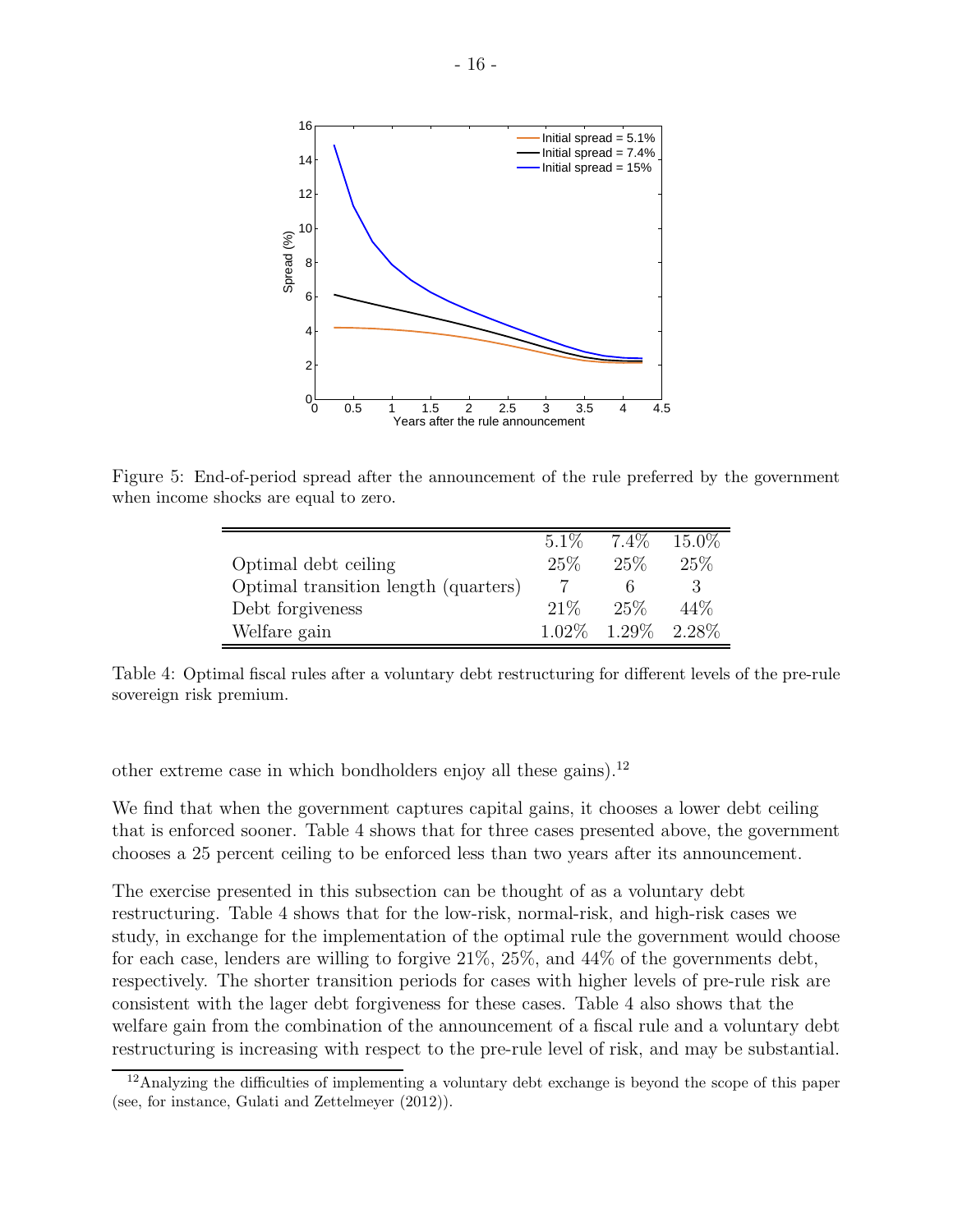

Figure 5: End-of-period spread after the announcement of the rule preferred by the government when income shocks are equal to zero.

|                                      | $5.1\%$  | $7.4\%$ | 15.0\% |
|--------------------------------------|----------|---------|--------|
| Optimal debt ceiling                 | 25\%     | 25\%    | 25%    |
| Optimal transition length (quarters) |          |         | 3      |
| Debt forgiveness                     | 21%      | 25%     | 44\%   |
| Welfare gain                         | $1.02\%$ | 1.29\%  | 2.28\% |

Table 4: Optimal fiscal rules after a voluntary debt restructuring for different levels of the pre-rule sovereign risk premium.

other extreme case in which bondholders enjoy all these gains).<sup>12</sup>

We find that when the government captures capital gains, it chooses a lower debt ceiling that is enforced sooner. Table 4 shows that for three cases presented above, the government chooses a 25 percent ceiling to be enforced less than two years after its announcement.

The exercise presented in this subsection can be thought of as a voluntary debt restructuring. Table 4 shows that for the low-risk, normal-risk, and high-risk cases we study, in exchange for the implementation of the optimal rule the government would choose for each case, lenders are willing to forgive 21%, 25%, and 44% of the governments debt, respectively. The shorter transition periods for cases with higher levels of pre-rule risk are consistent with the lager debt forgiveness for these cases. Table 4 also shows that the welfare gain from the combination of the announcement of a fiscal rule and a voluntary debt restructuring is increasing with respect to the pre-rule level of risk, and may be substantial.

<sup>&</sup>lt;sup>12</sup>Analyzing the difficulties of implementing a voluntary debt exchange is beyond the scope of this paper (see, for instance, Gulati and Zettelmeyer (2012)).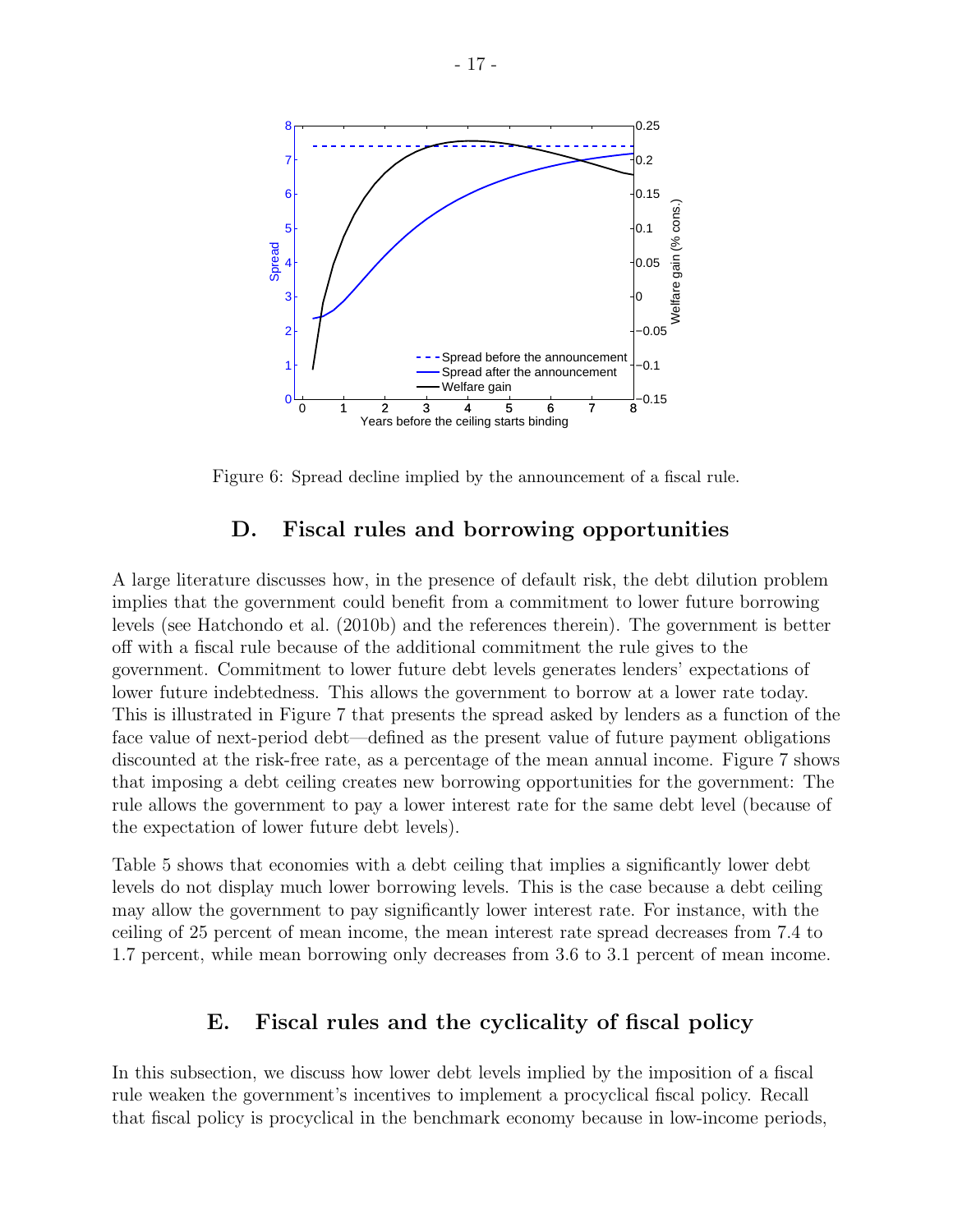

Figure 6: Spread decline implied by the announcement of a fiscal rule.

#### D. Fiscal rules and borrowing opportunities

A large literature discusses how, in the presence of default risk, the debt dilution problem implies that the government could benefit from a commitment to lower future borrowing levels (see Hatchondo et al. (2010b) and the references therein). The government is better off with a fiscal rule because of the additional commitment the rule gives to the government. Commitment to lower future debt levels generates lenders' expectations of lower future indebtedness. This allows the government to borrow at a lower rate today. This is illustrated in Figure 7 that presents the spread asked by lenders as a function of the face value of next-period debt—defined as the present value of future payment obligations discounted at the risk-free rate, as a percentage of the mean annual income. Figure 7 shows that imposing a debt ceiling creates new borrowing opportunities for the government: The rule allows the government to pay a lower interest rate for the same debt level (because of the expectation of lower future debt levels).

Table 5 shows that economies with a debt ceiling that implies a significantly lower debt levels do not display much lower borrowing levels. This is the case because a debt ceiling may allow the government to pay significantly lower interest rate. For instance, with the ceiling of 25 percent of mean income, the mean interest rate spread decreases from 7.4 to 1.7 percent, while mean borrowing only decreases from 3.6 to 3.1 percent of mean income.

#### E. Fiscal rules and the cyclicality of fiscal policy

In this subsection, we discuss how lower debt levels implied by the imposition of a fiscal rule weaken the government's incentives to implement a procyclical fiscal policy. Recall that fiscal policy is procyclical in the benchmark economy because in low-income periods,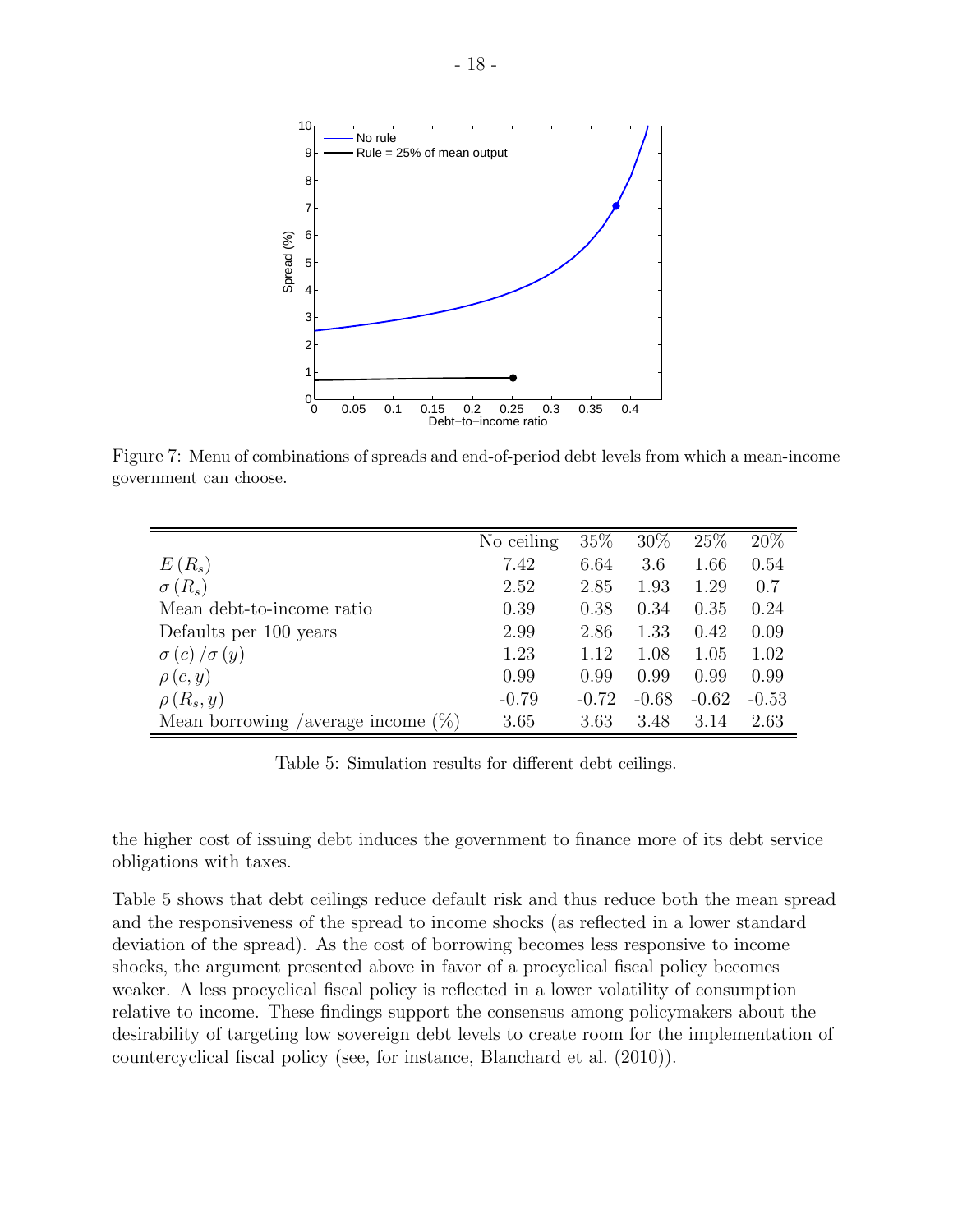

Figure 7: Menu of combinations of spreads and end-of-period debt levels from which a mean-income government can choose.

|                                       | No ceiling | 35%     | $30\%$  | 25%     | 20%     |
|---------------------------------------|------------|---------|---------|---------|---------|
| $E(R_s)$                              | 7.42       | 6.64    | 3.6     | 1.66    | 0.54    |
| $\sigma(R_s)$                         | 2.52       | 2.85    | 1.93    | 1.29    | 0.7     |
| Mean debt-to-income ratio             | 0.39       | 0.38    | 0.34    | 0.35    | 0.24    |
| Defaults per 100 years                | 2.99       | 2.86    | 1.33    | 0.42    | 0.09    |
| $\sigma(c)/\sigma(y)$                 | 1.23       | 1.12    | 1.08    | 1.05    | 1.02    |
| $\rho(c,y)$                           | 0.99       | 0.99    | 0.99    | 0.99    | 0.99    |
| $\rho(R_s, y)$                        | $-0.79$    | $-0.72$ | $-0.68$ | $-0.62$ | $-0.53$ |
| Mean borrowing /average income $(\%)$ | 3.65       | 3.63    | 3.48    | 3.14    | 2.63    |

Table 5: Simulation results for different debt ceilings.

the higher cost of issuing debt induces the government to finance more of its debt service obligations with taxes.

Table 5 shows that debt ceilings reduce default risk and thus reduce both the mean spread and the responsiveness of the spread to income shocks (as reflected in a lower standard deviation of the spread). As the cost of borrowing becomes less responsive to income shocks, the argument presented above in favor of a procyclical fiscal policy becomes weaker. A less procyclical fiscal policy is reflected in a lower volatility of consumption relative to income. These findings support the consensus among policymakers about the desirability of targeting low sovereign debt levels to create room for the implementation of countercyclical fiscal policy (see, for instance, Blanchard et al. (2010)).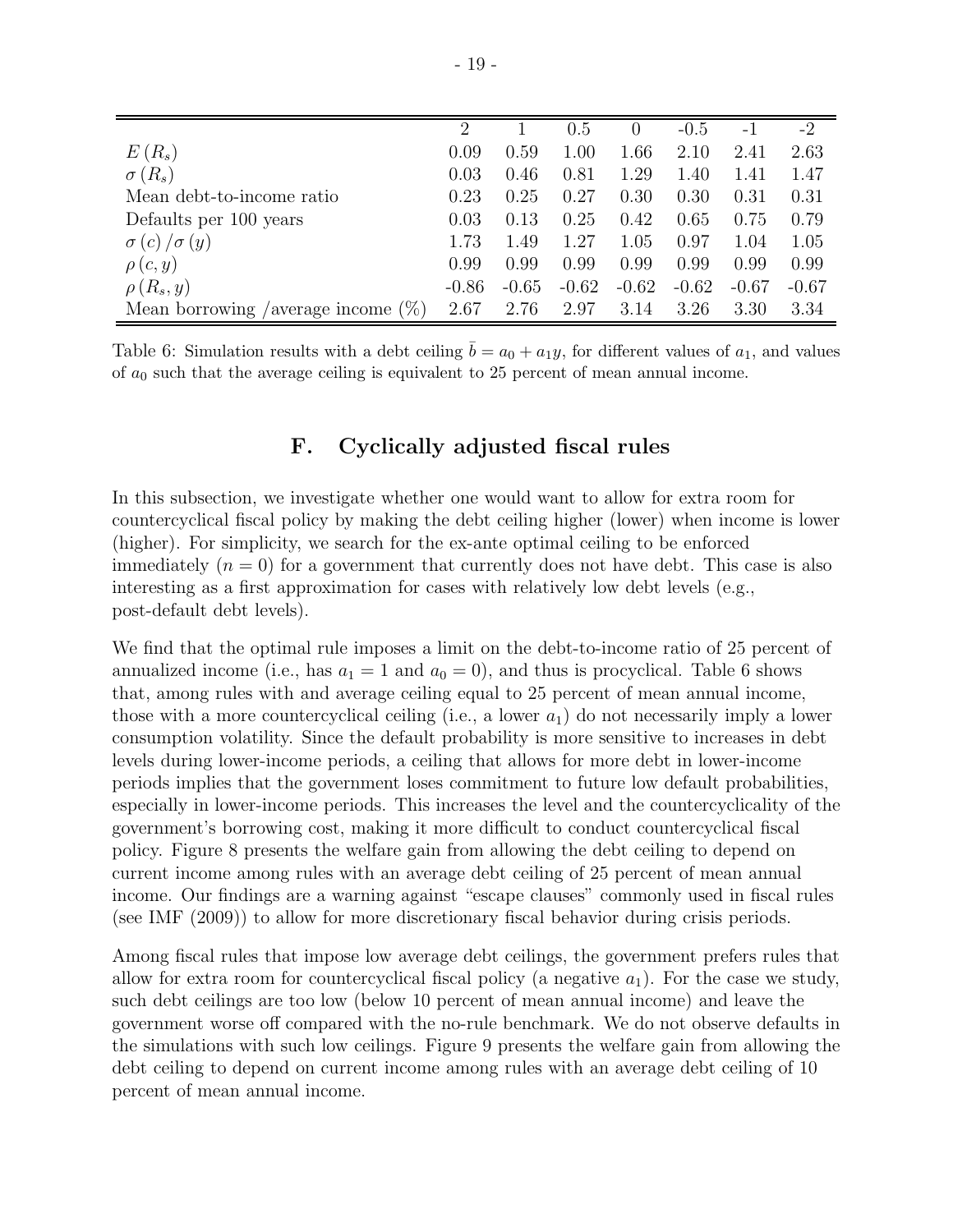|                                             | 2       |         | 0.5     |         | $-0.5$  | $-1$    | $-2$    |
|---------------------------------------------|---------|---------|---------|---------|---------|---------|---------|
| $E(R_s)$                                    | 0.09    | 0.59    | 1.00    | 1.66    | 2.10    | 2.41    | 2.63    |
| $\sigma(R_s)$                               | 0.03    | 0.46    | 0.81    | 1.29    | 1.40    | 1.41    | 1.47    |
| Mean debt-to-income ratio                   | 0.23    | 0.25    | 0.27    | 0.30    | 0.30    | 0.31    | 0.31    |
| Defaults per 100 years                      | 0.03    | 0.13    | 0.25    | 0.42    | 0.65    | 0.75    | 0.79    |
| $\sigma(c)/\sigma(y)$                       | 1.73    | 1.49    | 1.27    | 1.05    | 0.97    | 1.04    | 1.05    |
| $\rho(c,y)$                                 | 0.99    | 0.99    | 0.99    | 0.99    | 0.99    | 0.99    | 0.99    |
| $\rho(R_s, y)$                              | $-0.86$ | $-0.65$ | $-0.62$ | $-0.62$ | $-0.62$ | $-0.67$ | $-0.67$ |
| $(\%)$<br>Mean borrowing<br>/average income | 2.67    | 2.76    | 2.97    | 3.14    | 3.26    | 3.30    | 3.34    |

Table 6: Simulation results with a debt ceiling  $\bar{b} = a_0 + a_1y$ , for different values of  $a_1$ , and values of  $a_0$  such that the average ceiling is equivalent to 25 percent of mean annual income.

### F. Cyclically adjusted fiscal rules

In this subsection, we investigate whether one would want to allow for extra room for countercyclical fiscal policy by making the debt ceiling higher (lower) when income is lower (higher). For simplicity, we search for the ex-ante optimal ceiling to be enforced immediately  $(n = 0)$  for a government that currently does not have debt. This case is also interesting as a first approximation for cases with relatively low debt levels (e.g., post-default debt levels).

We find that the optimal rule imposes a limit on the debt-to-income ratio of 25 percent of annualized income (i.e., has  $a_1 = 1$  and  $a_0 = 0$ ), and thus is procyclical. Table 6 shows that, among rules with and average ceiling equal to 25 percent of mean annual income, those with a more countercyclical ceiling (i.e., a lower  $a_1$ ) do not necessarily imply a lower consumption volatility. Since the default probability is more sensitive to increases in debt levels during lower-income periods, a ceiling that allows for more debt in lower-income periods implies that the government loses commitment to future low default probabilities, especially in lower-income periods. This increases the level and the countercyclicality of the government's borrowing cost, making it more difficult to conduct countercyclical fiscal policy. Figure 8 presents the welfare gain from allowing the debt ceiling to depend on current income among rules with an average debt ceiling of 25 percent of mean annual income. Our findings are a warning against "escape clauses" commonly used in fiscal rules (see IMF (2009)) to allow for more discretionary fiscal behavior during crisis periods.

Among fiscal rules that impose low average debt ceilings, the government prefers rules that allow for extra room for countercyclical fiscal policy (a negative  $a_1$ ). For the case we study, such debt ceilings are too low (below 10 percent of mean annual income) and leave the government worse off compared with the no-rule benchmark. We do not observe defaults in the simulations with such low ceilings. Figure 9 presents the welfare gain from allowing the debt ceiling to depend on current income among rules with an average debt ceiling of 10 percent of mean annual income.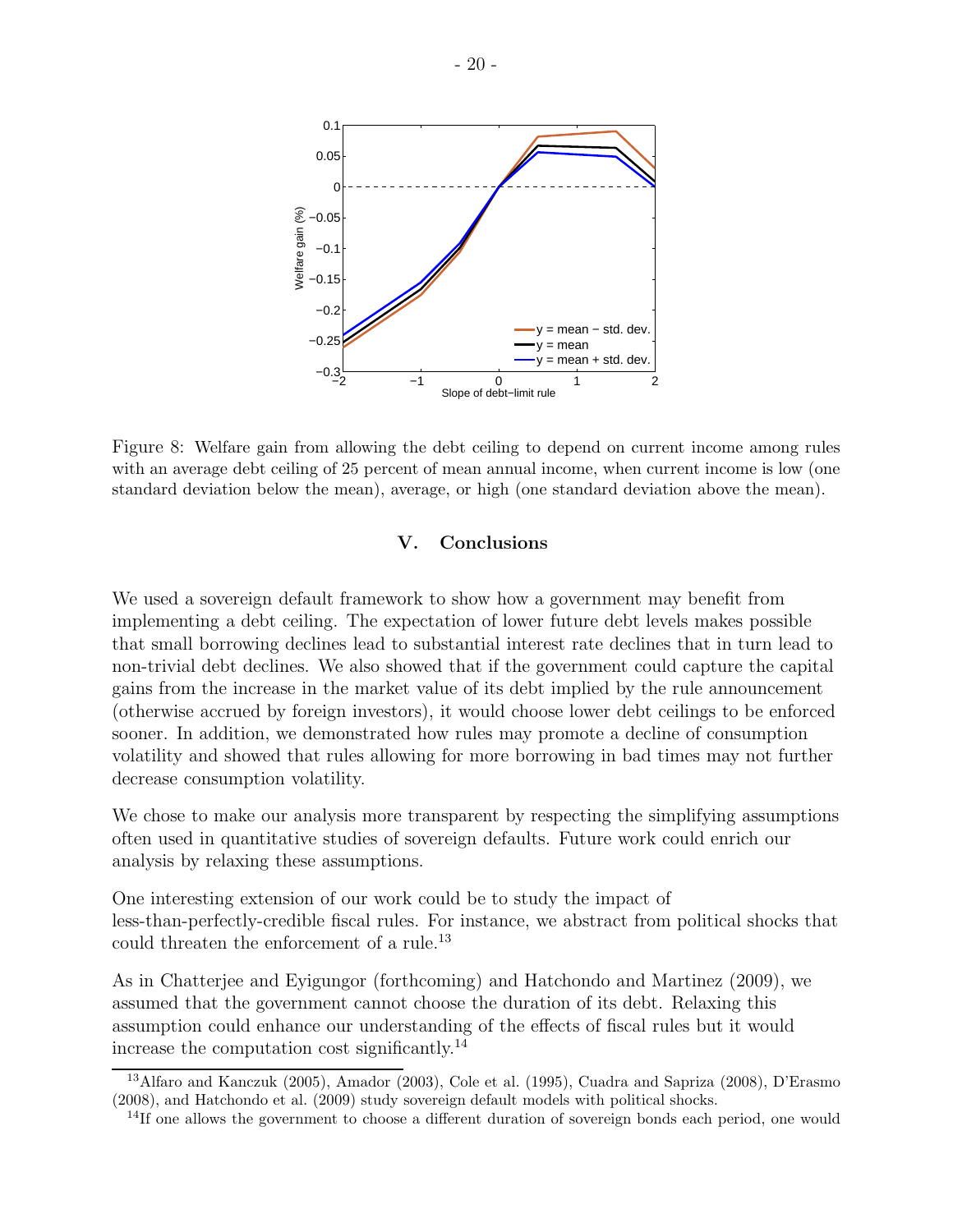

Figure 8: Welfare gain from allowing the debt ceiling to depend on current income among rules with an average debt ceiling of 25 percent of mean annual income, when current income is low (one standard deviation below the mean), average, or high (one standard deviation above the mean).

#### V. Conclusions

We used a sovereign default framework to show how a government may benefit from implementing a debt ceiling. The expectation of lower future debt levels makes possible that small borrowing declines lead to substantial interest rate declines that in turn lead to non-trivial debt declines. We also showed that if the government could capture the capital gains from the increase in the market value of its debt implied by the rule announcement (otherwise accrued by foreign investors), it would choose lower debt ceilings to be enforced sooner. In addition, we demonstrated how rules may promote a decline of consumption volatility and showed that rules allowing for more borrowing in bad times may not further decrease consumption volatility.

We chose to make our analysis more transparent by respecting the simplifying assumptions often used in quantitative studies of sovereign defaults. Future work could enrich our analysis by relaxing these assumptions.

One interesting extension of our work could be to study the impact of less-than-perfectly-credible fiscal rules. For instance, we abstract from political shocks that could threaten the enforcement of a rule.<sup>13</sup>

As in Chatterjee and Eyigungor (forthcoming) and Hatchondo and Martinez (2009), we assumed that the government cannot choose the duration of its debt. Relaxing this assumption could enhance our understanding of the effects of fiscal rules but it would increase the computation cost significantly.<sup>14</sup>

<sup>13</sup>Alfaro and Kanczuk (2005), Amador (2003), Cole et al. (1995), Cuadra and Sapriza (2008), D'Erasmo (2008), and Hatchondo et al. (2009) study sovereign default models with political shocks.

<sup>&</sup>lt;sup>14</sup>If one allows the government to choose a different duration of sovereign bonds each period, one would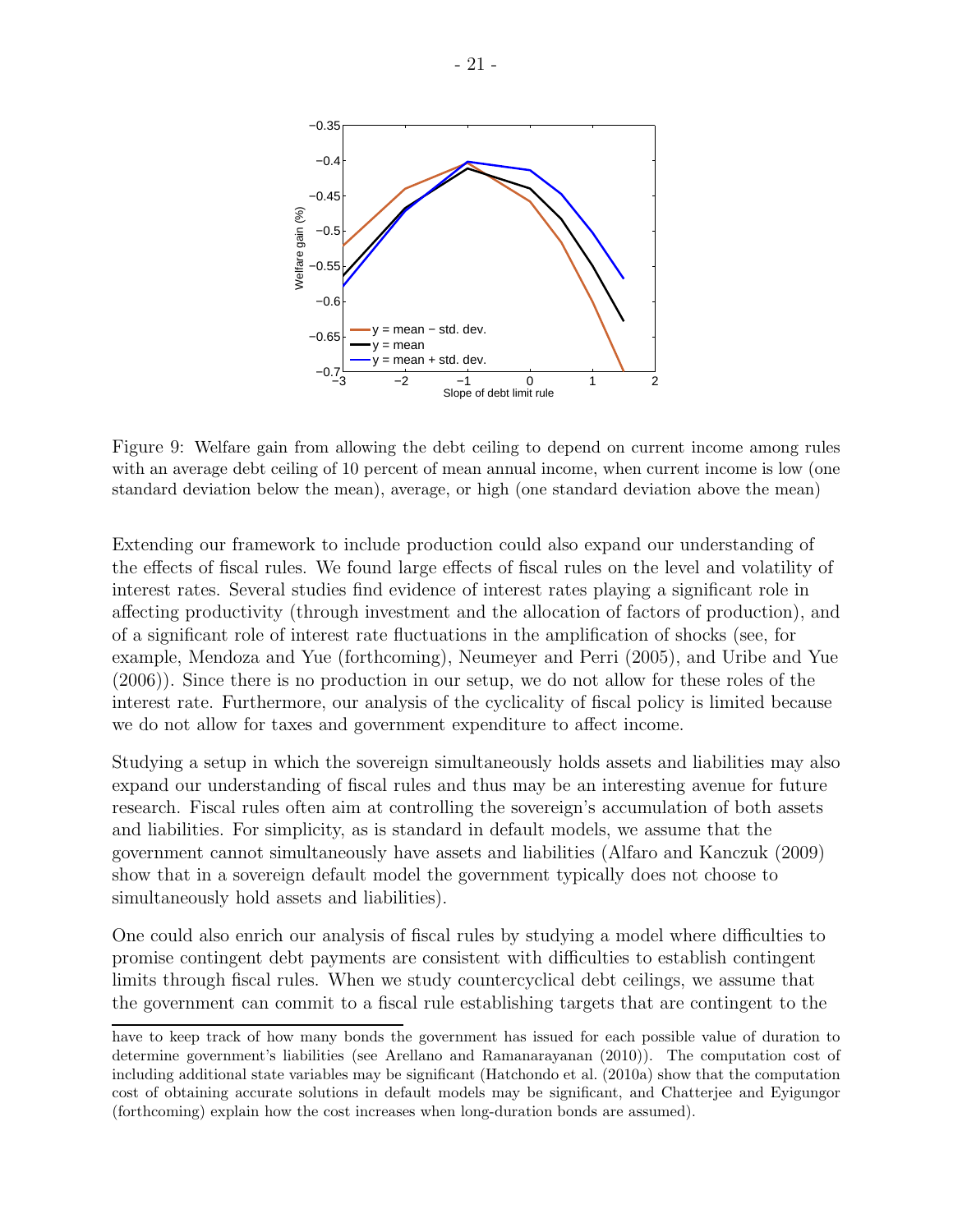

Figure 9: Welfare gain from allowing the debt ceiling to depend on current income among rules with an average debt ceiling of 10 percent of mean annual income, when current income is low (one standard deviation below the mean), average, or high (one standard deviation above the mean)

Extending our framework to include production could also expand our understanding of the effects of fiscal rules. We found large effects of fiscal rules on the level and volatility of interest rates. Several studies find evidence of interest rates playing a significant role in affecting productivity (through investment and the allocation of factors of production), and of a significant role of interest rate fluctuations in the amplification of shocks (see, for example, Mendoza and Yue (forthcoming), Neumeyer and Perri (2005), and Uribe and Yue (2006)). Since there is no production in our setup, we do not allow for these roles of the interest rate. Furthermore, our analysis of the cyclicality of fiscal policy is limited because we do not allow for taxes and government expenditure to affect income.

Studying a setup in which the sovereign simultaneously holds assets and liabilities may also expand our understanding of fiscal rules and thus may be an interesting avenue for future research. Fiscal rules often aim at controlling the sovereign's accumulation of both assets and liabilities. For simplicity, as is standard in default models, we assume that the government cannot simultaneously have assets and liabilities (Alfaro and Kanczuk (2009) show that in a sovereign default model the government typically does not choose to simultaneously hold assets and liabilities).

One could also enrich our analysis of fiscal rules by studying a model where difficulties to promise contingent debt payments are consistent with difficulties to establish contingent limits through fiscal rules. When we study countercyclical debt ceilings, we assume that the government can commit to a fiscal rule establishing targets that are contingent to the

have to keep track of how many bonds the government has issued for each possible value of duration to determine government's liabilities (see Arellano and Ramanarayanan (2010)). The computation cost of including additional state variables may be significant (Hatchondo et al. (2010a) show that the computation cost of obtaining accurate solutions in default models may be significant, and Chatterjee and Eyigungor (forthcoming) explain how the cost increases when long-duration bonds are assumed).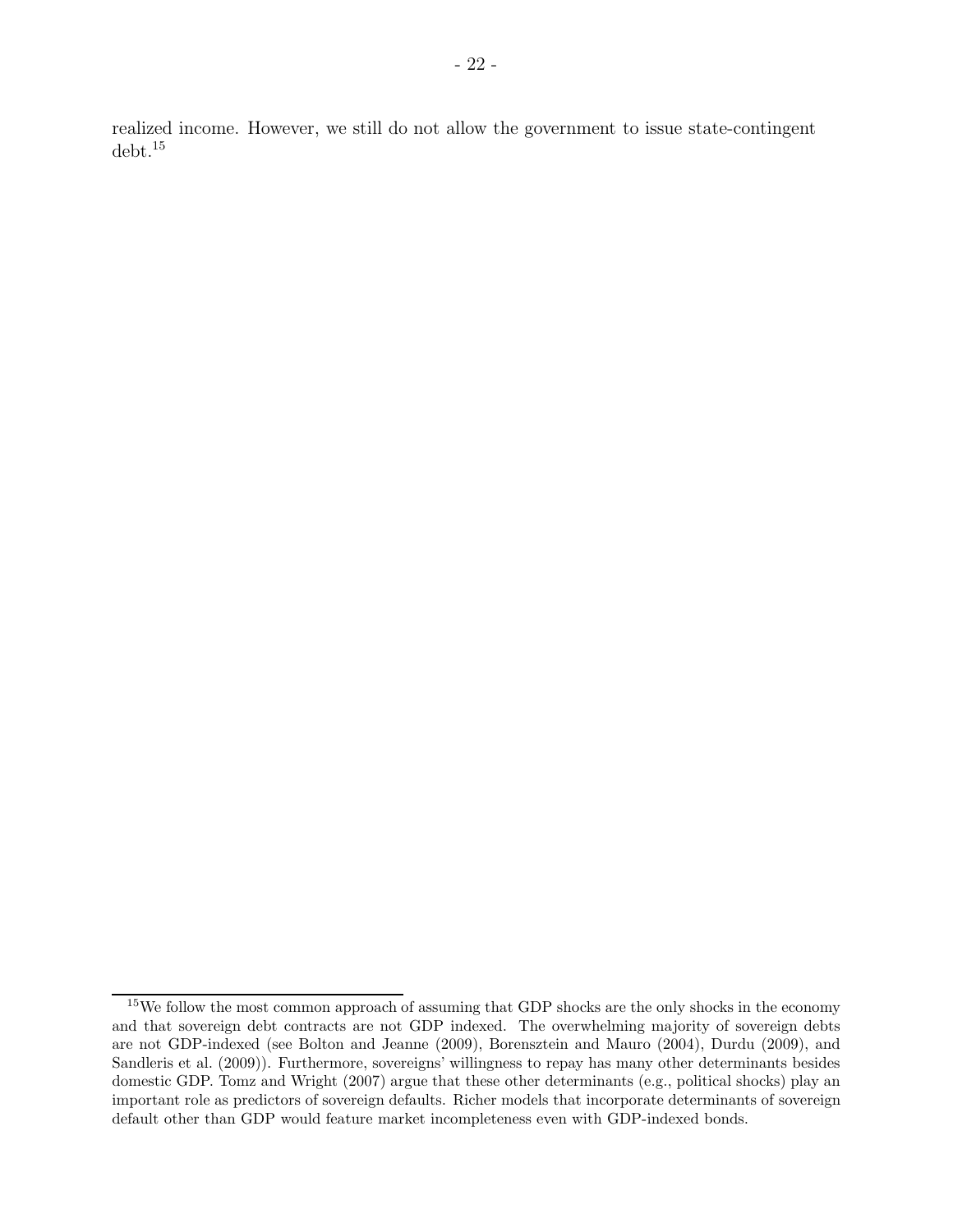realized income. However, we still do not allow the government to issue state-contingent debt.<sup>15</sup>

 $15$ We follow the most common approach of assuming that GDP shocks are the only shocks in the economy and that sovereign debt contracts are not GDP indexed. The overwhelming majority of sovereign debts are not GDP-indexed (see Bolton and Jeanne (2009), Borensztein and Mauro (2004), Durdu (2009), and Sandleris et al. (2009)). Furthermore, sovereigns' willingness to repay has many other determinants besides domestic GDP. Tomz and Wright (2007) argue that these other determinants (e.g., political shocks) play an important role as predictors of sovereign defaults. Richer models that incorporate determinants of sovereign default other than GDP would feature market incompleteness even with GDP-indexed bonds.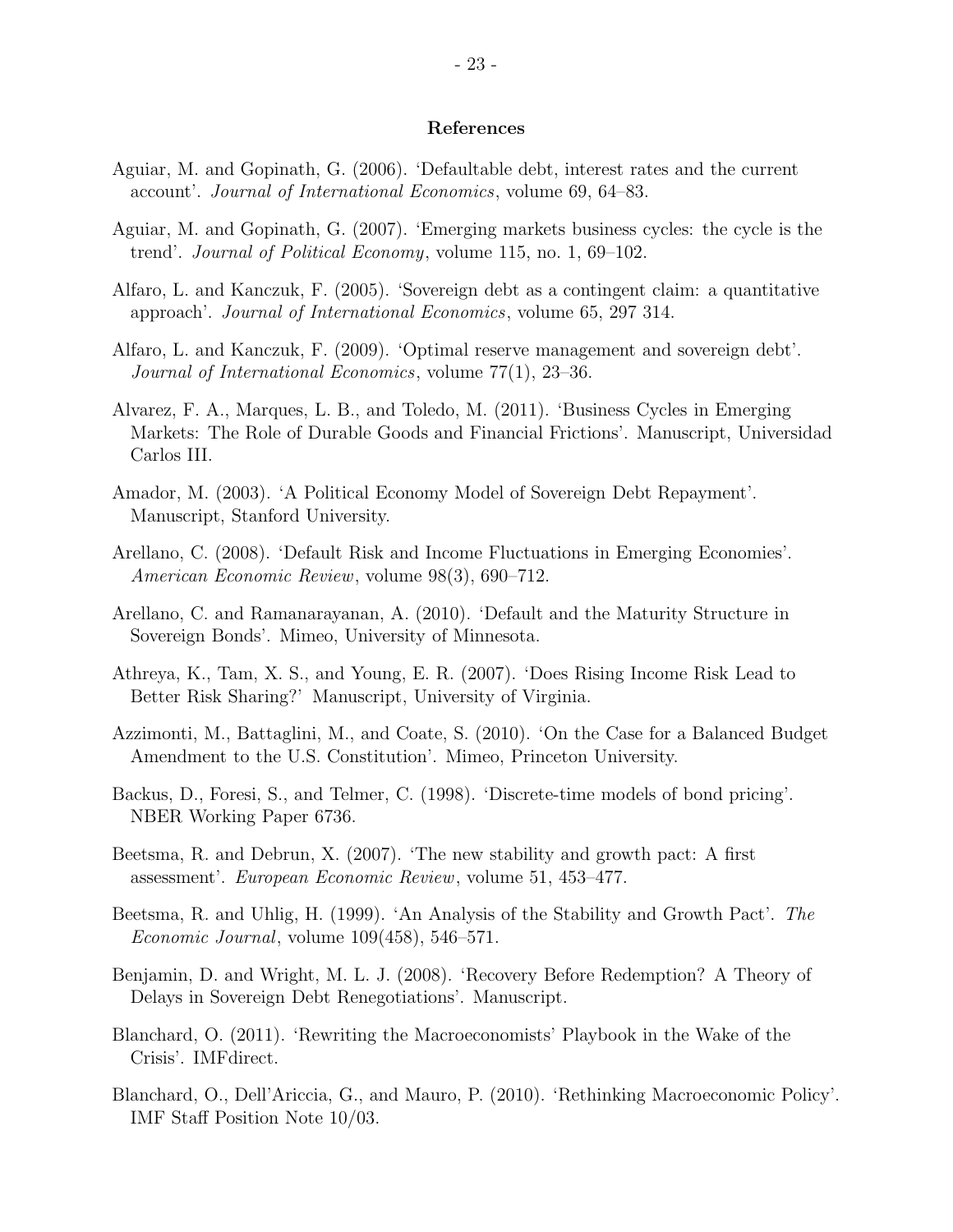#### References

- Aguiar, M. and Gopinath, G. (2006). 'Defaultable debt, interest rates and the current account'. Journal of International Economics, volume 69, 64–83.
- Aguiar, M. and Gopinath, G. (2007). 'Emerging markets business cycles: the cycle is the trend'. Journal of Political Economy, volume 115, no. 1, 69–102.
- Alfaro, L. and Kanczuk, F. (2005). 'Sovereign debt as a contingent claim: a quantitative approach'. Journal of International Economics, volume 65, 297 314.
- Alfaro, L. and Kanczuk, F. (2009). 'Optimal reserve management and sovereign debt'. Journal of International Economics, volume 77(1), 23–36.
- Alvarez, F. A., Marques, L. B., and Toledo, M. (2011). 'Business Cycles in Emerging Markets: The Role of Durable Goods and Financial Frictions'. Manuscript, Universidad Carlos III.
- Amador, M. (2003). 'A Political Economy Model of Sovereign Debt Repayment'. Manuscript, Stanford University.
- Arellano, C. (2008). 'Default Risk and Income Fluctuations in Emerging Economies'. American Economic Review, volume 98(3), 690–712.
- Arellano, C. and Ramanarayanan, A. (2010). 'Default and the Maturity Structure in Sovereign Bonds'. Mimeo, University of Minnesota.
- Athreya, K., Tam, X. S., and Young, E. R. (2007). 'Does Rising Income Risk Lead to Better Risk Sharing?' Manuscript, University of Virginia.
- Azzimonti, M., Battaglini, M., and Coate, S. (2010). 'On the Case for a Balanced Budget Amendment to the U.S. Constitution'. Mimeo, Princeton University.
- Backus, D., Foresi, S., and Telmer, C. (1998). 'Discrete-time models of bond pricing'. NBER Working Paper 6736.
- Beetsma, R. and Debrun, X. (2007). 'The new stability and growth pact: A first assessment'. European Economic Review, volume 51, 453–477.
- Beetsma, R. and Uhlig, H. (1999). 'An Analysis of the Stability and Growth Pact'. The Economic Journal, volume 109(458), 546–571.
- Benjamin, D. and Wright, M. L. J. (2008). 'Recovery Before Redemption? A Theory of Delays in Sovereign Debt Renegotiations'. Manuscript.
- Blanchard, O. (2011). 'Rewriting the Macroeconomists' Playbook in the Wake of the Crisis'. IMFdirect.
- Blanchard, O., Dell'Ariccia, G., and Mauro, P. (2010). 'Rethinking Macroeconomic Policy'. IMF Staff Position Note 10/03.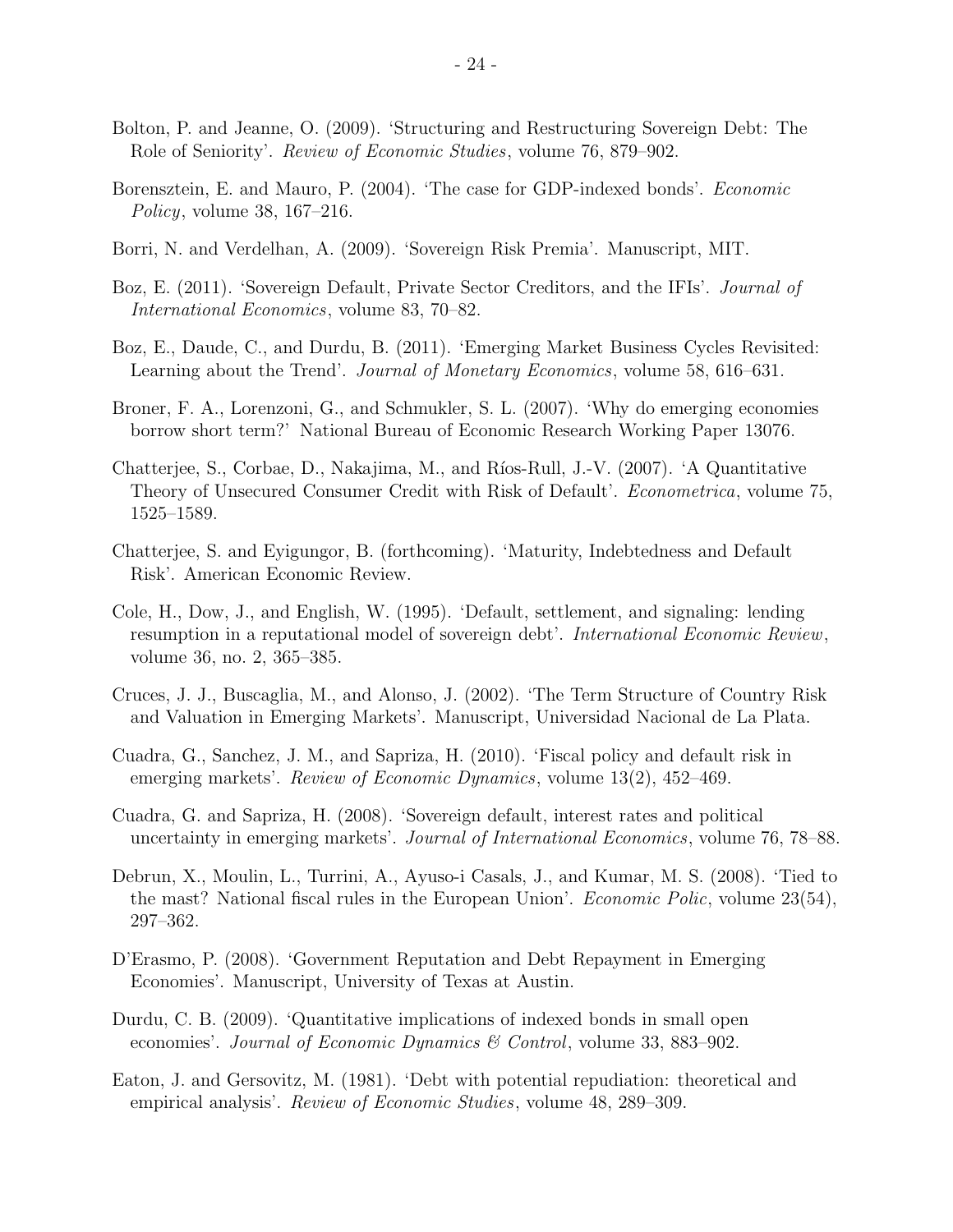- Bolton, P. and Jeanne, O. (2009). 'Structuring and Restructuring Sovereign Debt: The Role of Seniority'. Review of Economic Studies, volume 76, 879–902.
- Borensztein, E. and Mauro, P. (2004). 'The case for GDP-indexed bonds'. Economic Policy, volume 38, 167–216.
- Borri, N. and Verdelhan, A. (2009). 'Sovereign Risk Premia'. Manuscript, MIT.
- Boz, E. (2011). 'Sovereign Default, Private Sector Creditors, and the IFIs'. Journal of International Economics, volume 83, 70–82.
- Boz, E., Daude, C., and Durdu, B. (2011). 'Emerging Market Business Cycles Revisited: Learning about the Trend'. Journal of Monetary Economics, volume 58, 616–631.
- Broner, F. A., Lorenzoni, G., and Schmukler, S. L. (2007). 'Why do emerging economies borrow short term?' National Bureau of Economic Research Working Paper 13076.
- Chatterjee, S., Corbae, D., Nakajima, M., and Ríos-Rull, J.-V. (2007). 'A Quantitative Theory of Unsecured Consumer Credit with Risk of Default'. *Econometrica*, volume 75, 1525–1589.
- Chatterjee, S. and Eyigungor, B. (forthcoming). 'Maturity, Indebtedness and Default Risk'. American Economic Review.
- Cole, H., Dow, J., and English, W. (1995). 'Default, settlement, and signaling: lending resumption in a reputational model of sovereign debt'. International Economic Review, volume 36, no. 2, 365–385.
- Cruces, J. J., Buscaglia, M., and Alonso, J. (2002). 'The Term Structure of Country Risk and Valuation in Emerging Markets'. Manuscript, Universidad Nacional de La Plata.
- Cuadra, G., Sanchez, J. M., and Sapriza, H. (2010). 'Fiscal policy and default risk in emerging markets'. *Review of Economic Dynamics*, volume 13(2), 452–469.
- Cuadra, G. and Sapriza, H. (2008). 'Sovereign default, interest rates and political uncertainty in emerging markets'. Journal of International Economics, volume 76, 78–88.
- Debrun, X., Moulin, L., Turrini, A., Ayuso-i Casals, J., and Kumar, M. S. (2008). 'Tied to the mast? National fiscal rules in the European Union'. Economic Polic, volume 23(54), 297–362.
- D'Erasmo, P. (2008). 'Government Reputation and Debt Repayment in Emerging Economies'. Manuscript, University of Texas at Austin.
- Durdu, C. B. (2009). 'Quantitative implications of indexed bonds in small open economies'. Journal of Economic Dynamics & Control, volume 33, 883-902.
- Eaton, J. and Gersovitz, M. (1981). 'Debt with potential repudiation: theoretical and empirical analysis'. *Review of Economic Studies*, volume 48, 289–309.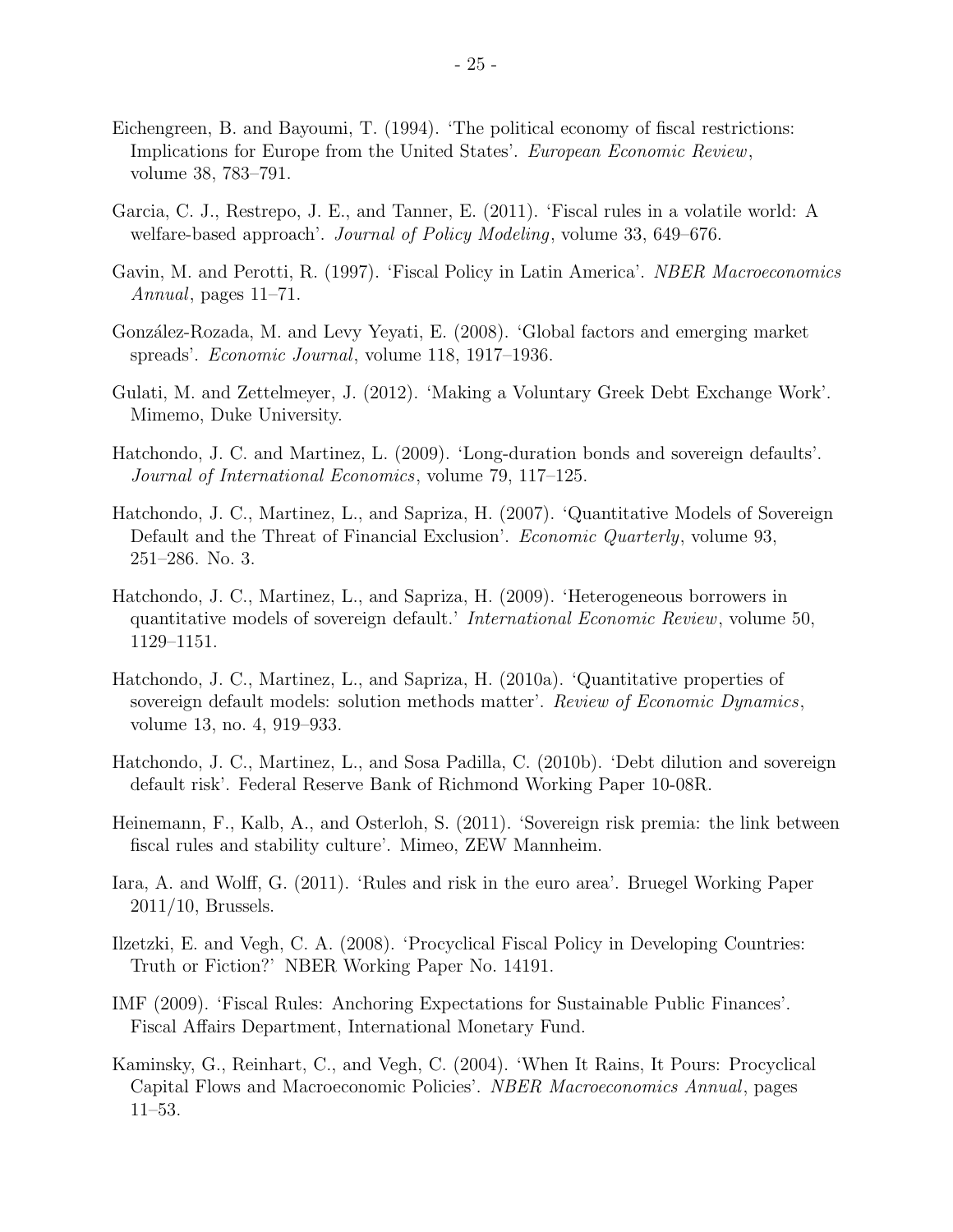- Eichengreen, B. and Bayoumi, T. (1994). 'The political economy of fiscal restrictions: Implications for Europe from the United States'. European Economic Review, volume 38, 783–791.
- Garcia, C. J., Restrepo, J. E., and Tanner, E. (2011). 'Fiscal rules in a volatile world: A welfare-based approach'. Journal of Policy Modeling, volume 33, 649–676.
- Gavin, M. and Perotti, R. (1997). 'Fiscal Policy in Latin America'. NBER Macroeconomics Annual, pages 11–71.
- Gonz´alez-Rozada, M. and Levy Yeyati, E. (2008). 'Global factors and emerging market spreads'. Economic Journal, volume 118, 1917–1936.
- Gulati, M. and Zettelmeyer, J. (2012). 'Making a Voluntary Greek Debt Exchange Work'. Mimemo, Duke University.
- Hatchondo, J. C. and Martinez, L. (2009). 'Long-duration bonds and sovereign defaults'. Journal of International Economics, volume 79, 117–125.
- Hatchondo, J. C., Martinez, L., and Sapriza, H. (2007). 'Quantitative Models of Sovereign Default and the Threat of Financial Exclusion'. *Economic Quarterly*, volume 93, 251–286. No. 3.
- Hatchondo, J. C., Martinez, L., and Sapriza, H. (2009). 'Heterogeneous borrowers in quantitative models of sovereign default.' International Economic Review, volume 50, 1129–1151.
- Hatchondo, J. C., Martinez, L., and Sapriza, H. (2010a). 'Quantitative properties of sovereign default models: solution methods matter'. Review of Economic Dynamics, volume 13, no. 4, 919–933.
- Hatchondo, J. C., Martinez, L., and Sosa Padilla, C. (2010b). 'Debt dilution and sovereign default risk'. Federal Reserve Bank of Richmond Working Paper 10-08R.
- Heinemann, F., Kalb, A., and Osterloh, S. (2011). 'Sovereign risk premia: the link between fiscal rules and stability culture'. Mimeo, ZEW Mannheim.
- Iara, A. and Wolff, G. (2011). 'Rules and risk in the euro area'. Bruegel Working Paper 2011/10, Brussels.
- Ilzetzki, E. and Vegh, C. A. (2008). 'Procyclical Fiscal Policy in Developing Countries: Truth or Fiction?' NBER Working Paper No. 14191.
- IMF (2009). 'Fiscal Rules: Anchoring Expectations for Sustainable Public Finances'. Fiscal Affairs Department, International Monetary Fund.
- Kaminsky, G., Reinhart, C., and Vegh, C. (2004). 'When It Rains, It Pours: Procyclical Capital Flows and Macroeconomic Policies'. NBER Macroeconomics Annual, pages 11–53.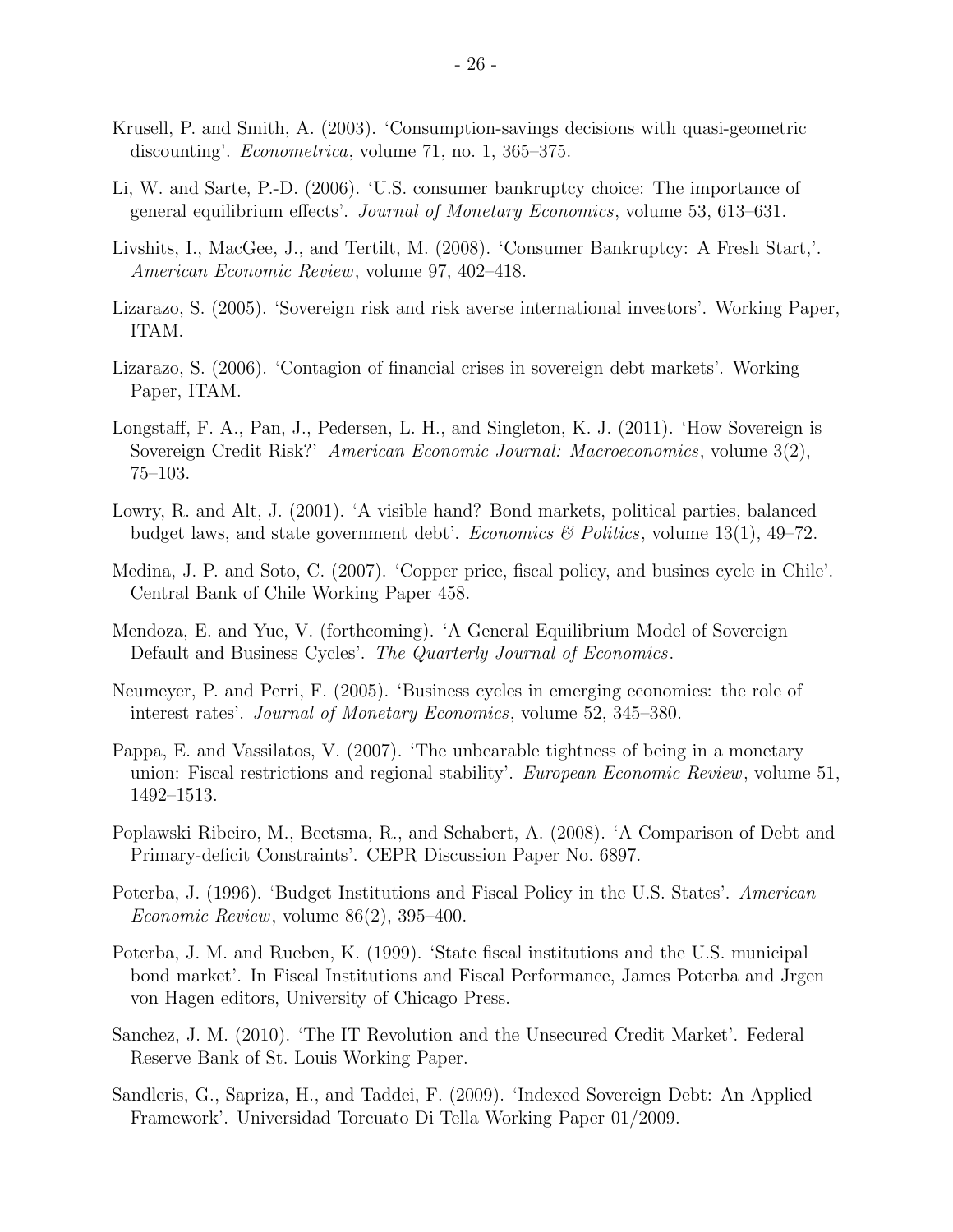- Krusell, P. and Smith, A. (2003). 'Consumption-savings decisions with quasi-geometric discounting'. *Econometrica*, volume 71, no. 1, 365–375.
- Li, W. and Sarte, P.-D. (2006). 'U.S. consumer bankruptcy choice: The importance of general equilibrium effects'. Journal of Monetary Economics, volume 53, 613–631.
- Livshits, I., MacGee, J., and Tertilt, M. (2008). 'Consumer Bankruptcy: A Fresh Start,'. American Economic Review, volume 97, 402–418.
- Lizarazo, S. (2005). 'Sovereign risk and risk averse international investors'. Working Paper, ITAM.
- Lizarazo, S. (2006). 'Contagion of financial crises in sovereign debt markets'. Working Paper, ITAM.
- Longstaff, F. A., Pan, J., Pedersen, L. H., and Singleton, K. J. (2011). 'How Sovereign is Sovereign Credit Risk?' American Economic Journal: Macroeconomics, volume 3(2), 75–103.
- Lowry, R. and Alt, J. (2001). 'A visible hand? Bond markets, political parties, balanced budget laws, and state government debt'. Economics & Politics, volume  $13(1)$ ,  $49-72$ .
- Medina, J. P. and Soto, C. (2007). 'Copper price, fiscal policy, and busines cycle in Chile'. Central Bank of Chile Working Paper 458.
- Mendoza, E. and Yue, V. (forthcoming). 'A General Equilibrium Model of Sovereign Default and Business Cycles'. The Quarterly Journal of Economics.
- Neumeyer, P. and Perri, F. (2005). 'Business cycles in emerging economies: the role of interest rates'. Journal of Monetary Economics, volume 52, 345–380.
- Pappa, E. and Vassilatos, V. (2007). 'The unbearable tightness of being in a monetary union: Fiscal restrictions and regional stability'. European Economic Review, volume 51, 1492–1513.
- Poplawski Ribeiro, M., Beetsma, R., and Schabert, A. (2008). 'A Comparison of Debt and Primary-deficit Constraints'. CEPR Discussion Paper No. 6897.
- Poterba, J. (1996). 'Budget Institutions and Fiscal Policy in the U.S. States'. American Economic Review, volume 86(2), 395–400.
- Poterba, J. M. and Rueben, K. (1999). 'State fiscal institutions and the U.S. municipal bond market'. In Fiscal Institutions and Fiscal Performance, James Poterba and Jrgen von Hagen editors, University of Chicago Press.
- Sanchez, J. M. (2010). 'The IT Revolution and the Unsecured Credit Market'. Federal Reserve Bank of St. Louis Working Paper.
- Sandleris, G., Sapriza, H., and Taddei, F. (2009). 'Indexed Sovereign Debt: An Applied Framework'. Universidad Torcuato Di Tella Working Paper 01/2009.